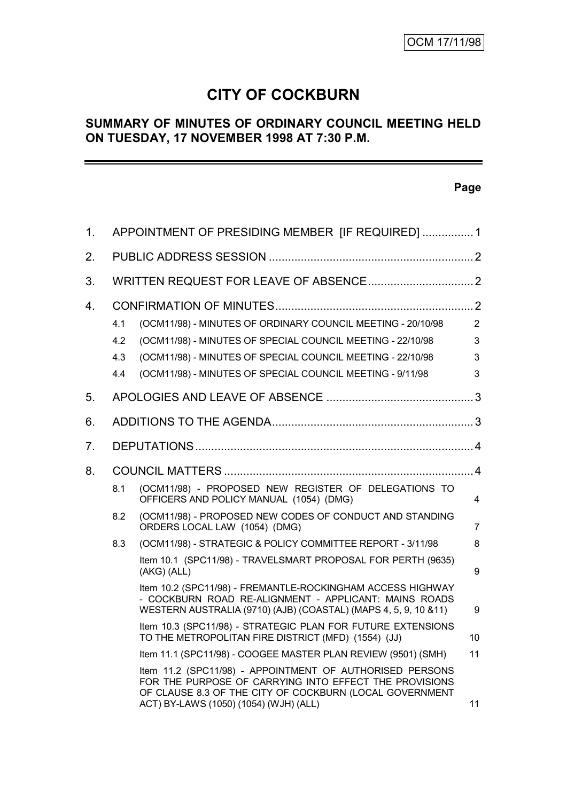# **CITY OF COCKBURN**

# **SUMMARY OF MINUTES OF ORDINARY COUNCIL MEETING HELD ON TUESDAY, 17 NOVEMBER 1998 AT 7:30 P.M.**

# **Page**

| 1.             | APPOINTMENT OF PRESIDING MEMBER [IF REQUIRED]  1 |                                                                                                                                                                                                                                                      |                               |
|----------------|--------------------------------------------------|------------------------------------------------------------------------------------------------------------------------------------------------------------------------------------------------------------------------------------------------------|-------------------------------|
| 2.             |                                                  |                                                                                                                                                                                                                                                      |                               |
| 3.             |                                                  |                                                                                                                                                                                                                                                      |                               |
| 4.             | 4.1<br>4.2<br>4.3<br>4.4                         | (OCM11/98) - MINUTES OF ORDINARY COUNCIL MEETING - 20/10/98<br>(OCM11/98) - MINUTES OF SPECIAL COUNCIL MEETING - 22/10/98<br>(OCM11/98) - MINUTES OF SPECIAL COUNCIL MEETING - 22/10/98<br>(OCM11/98) - MINUTES OF SPECIAL COUNCIL MEETING - 9/11/98 | $\overline{2}$<br>3<br>3<br>3 |
| 5.             |                                                  |                                                                                                                                                                                                                                                      |                               |
| 6.             |                                                  |                                                                                                                                                                                                                                                      |                               |
| 7 <sub>1</sub> |                                                  |                                                                                                                                                                                                                                                      |                               |
| 8.             |                                                  |                                                                                                                                                                                                                                                      |                               |
|                | 8.1                                              | (OCM11/98) - PROPOSED NEW REGISTER OF DELEGATIONS TO<br>OFFICERS AND POLICY MANUAL (1054) (DMG)                                                                                                                                                      | 4                             |
|                | 8.2                                              | (OCM11/98) - PROPOSED NEW CODES OF CONDUCT AND STANDING<br>ORDERS LOCAL LAW (1054) (DMG)                                                                                                                                                             | $\overline{7}$                |
|                | 8.3                                              | (OCM11/98) - STRATEGIC & POLICY COMMITTEE REPORT - 3/11/98                                                                                                                                                                                           | 8                             |
|                |                                                  | Item 10.1 (SPC11/98) - TRAVELSMART PROPOSAL FOR PERTH (9635)<br>(AKG) (ALL)                                                                                                                                                                          | 9                             |
|                |                                                  | Item 10.2 (SPC11/98) - FREMANTLE-ROCKINGHAM ACCESS HIGHWAY<br>- COCKBURN ROAD RE-ALIGNMENT - APPLICANT: MAINS ROADS<br>WESTERN AUSTRALIA (9710) (AJB) (COASTAL) (MAPS 4, 5, 9, 10 & 11)                                                              | 9                             |
|                |                                                  | Item 10.3 (SPC11/98) - STRATEGIC PLAN FOR FUTURE EXTENSIONS<br>TO THE METROPOLITAN FIRE DISTRICT (MFD) (1554) (JJ)                                                                                                                                   | 10                            |
|                |                                                  | Item 11.1 (SPC11/98) - COOGEE MASTER PLAN REVIEW (9501) (SMH)                                                                                                                                                                                        | 11                            |
|                |                                                  | Item 11.2 (SPC11/98) - APPOINTMENT OF AUTHORISED PERSONS<br>FOR THE PURPOSE OF CARRYING INTO EFFECT THE PROVISIONS<br>OF CLAUSE 8.3 OF THE CITY OF COCKBURN (LOCAL GOVERNMENT<br>ACT) BY-LAWS (1050) (1054) (WJH) (ALL)                              | 11                            |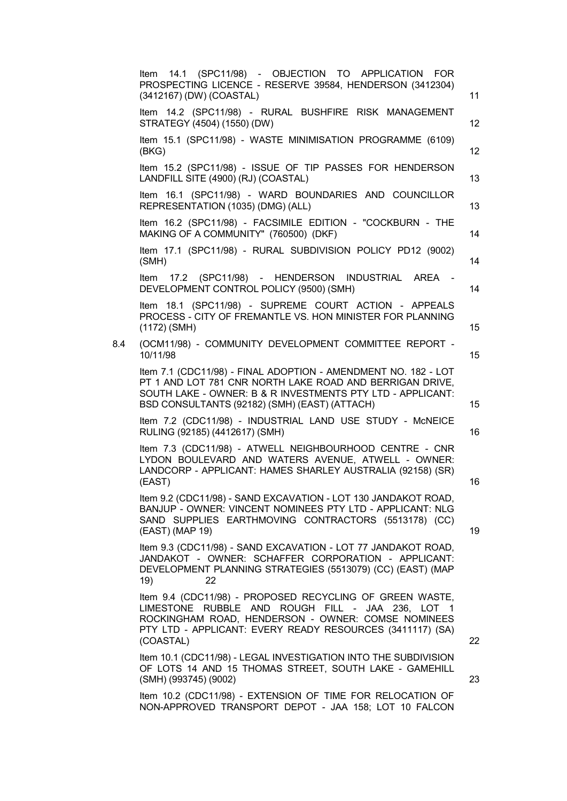|     | Item 14.1 (SPC11/98) - OBJECTION TO APPLICATION FOR<br>PROSPECTING LICENCE - RESERVE 39584, HENDERSON (3412304)<br>(3412167) (DW) (COASTAL)                                                                                                  | 11 |
|-----|----------------------------------------------------------------------------------------------------------------------------------------------------------------------------------------------------------------------------------------------|----|
|     | Item 14.2 (SPC11/98) - RURAL BUSHFIRE RISK MANAGEMENT<br>STRATEGY (4504) (1550) (DW)                                                                                                                                                         | 12 |
|     | Item 15.1 (SPC11/98) - WASTE MINIMISATION PROGRAMME (6109)<br>(BKG)                                                                                                                                                                          | 12 |
|     | Item 15.2 (SPC11/98) - ISSUE OF TIP PASSES FOR HENDERSON<br>LANDFILL SITE (4900) (RJ) (COASTAL)                                                                                                                                              | 13 |
|     | Item 16.1 (SPC11/98) - WARD BOUNDARIES AND COUNCILLOR<br>REPRESENTATION (1035) (DMG) (ALL)                                                                                                                                                   | 13 |
|     | Item 16.2 (SPC11/98) - FACSIMILE EDITION - "COCKBURN - THE<br>MAKING OF A COMMUNITY" (760500) (DKF)                                                                                                                                          | 14 |
|     | Item 17.1 (SPC11/98) - RURAL SUBDIVISION POLICY PD12 (9002)<br>(SMH)                                                                                                                                                                         | 14 |
|     | Item 17.2 (SPC11/98) - HENDERSON INDUSTRIAL AREA -<br>DEVELOPMENT CONTROL POLICY (9500) (SMH)                                                                                                                                                | 14 |
|     | Item 18.1 (SPC11/98) - SUPREME COURT ACTION - APPEALS<br>PROCESS - CITY OF FREMANTLE VS. HON MINISTER FOR PLANNING<br>$(1172)$ (SMH)                                                                                                         | 15 |
| 8.4 | (OCM11/98) - COMMUNITY DEVELOPMENT COMMITTEE REPORT -<br>10/11/98                                                                                                                                                                            | 15 |
|     | Item 7.1 (CDC11/98) - FINAL ADOPTION - AMENDMENT NO. 182 - LOT<br>PT 1 AND LOT 781 CNR NORTH LAKE ROAD AND BERRIGAN DRIVE,<br>SOUTH LAKE - OWNER: B & R INVESTMENTS PTY LTD - APPLICANT:<br>BSD CONSULTANTS (92182) (SMH) (EAST) (ATTACH)    | 15 |
|     | Item 7.2 (CDC11/98) - INDUSTRIAL LAND USE STUDY - McNEICE<br>RULING (92185) (4412617) (SMH)                                                                                                                                                  | 16 |
|     | Item 7.3 (CDC11/98) - ATWELL NEIGHBOURHOOD CENTRE - CNR<br>LYDON BOULEVARD AND WATERS AVENUE, ATWELL - OWNER:<br>LANDCORP - APPLICANT: HAMES SHARLEY AUSTRALIA (92158) (SR)<br>(EAST)                                                        | 16 |
|     | Item 9.2 (CDC11/98) - SAND EXCAVATION - LOT 130 JANDAKOT ROAD,<br>BANJUP - OWNER: VINCENT NOMINEES PTY LTD - APPLICANT: NLG<br>SAND SUPPLIES EARTHMOVING CONTRACTORS (5513178) (CC)<br>(EAST) (MAP 19)                                       | 19 |
|     | Item 9.3 (CDC11/98) - SAND EXCAVATION - LOT 77 JANDAKOT ROAD,<br>JANDAKOT - OWNER: SCHAFFER CORPORATION - APPLICANT:<br>DEVELOPMENT PLANNING STRATEGIES (5513079) (CC) (EAST) (MAP<br>19)<br>22                                              |    |
|     | Item 9.4 (CDC11/98) - PROPOSED RECYCLING OF GREEN WASTE,<br>LIMESTONE RUBBLE AND ROUGH FILL - JAA 236, LOT 1<br>ROCKINGHAM ROAD, HENDERSON - OWNER: COMSE NOMINEES<br>PTY LTD - APPLICANT: EVERY READY RESOURCES (3411117) (SA)<br>(COASTAL) | 22 |
|     | Item 10.1 (CDC11/98) - LEGAL INVESTIGATION INTO THE SUBDIVISION<br>OF LOTS 14 AND 15 THOMAS STREET, SOUTH LAKE - GAMEHILL<br>(SMH) (993745) (9002)                                                                                           | 23 |
|     | Item 10.2 (CDC11/98) - EXTENSION OF TIME FOR RELOCATION OF<br>NON-APPROVED TRANSPORT DEPOT - JAA 158; LOT 10 FALCON                                                                                                                          |    |
|     |                                                                                                                                                                                                                                              |    |
|     |                                                                                                                                                                                                                                              |    |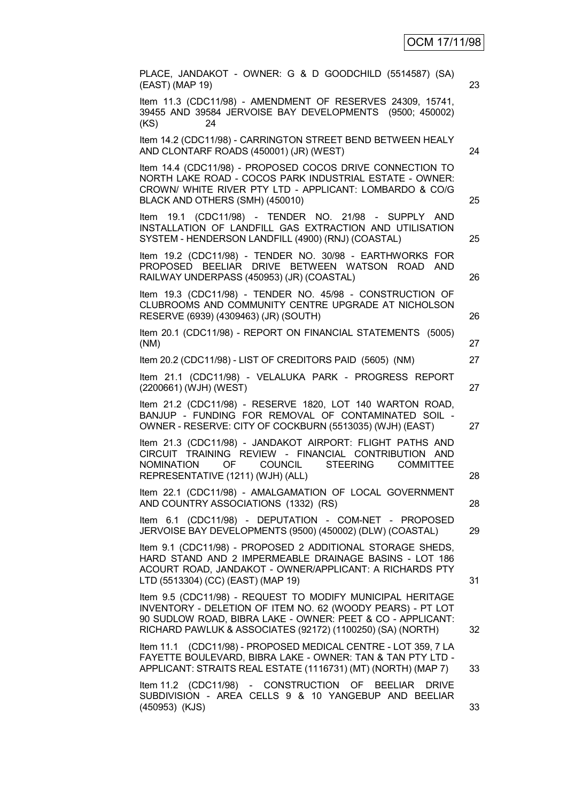| PLACE, JANDAKOT - OWNER: G & D GOODCHILD (5514587) (SA)<br>(EAST) (MAP 19)                                                                                                                                                                           | 23 |
|------------------------------------------------------------------------------------------------------------------------------------------------------------------------------------------------------------------------------------------------------|----|
| Item 11.3 (CDC11/98) - AMENDMENT OF RESERVES 24309, 15741,<br>39455 AND 39584 JERVOISE BAY DEVELOPMENTS (9500; 450002)<br>24<br>(KS)                                                                                                                 |    |
| Item 14.2 (CDC11/98) - CARRINGTON STREET BEND BETWEEN HEALY<br>AND CLONTARF ROADS (450001) (JR) (WEST)                                                                                                                                               | 24 |
| Item 14.4 (CDC11/98) - PROPOSED COCOS DRIVE CONNECTION TO<br>NORTH LAKE ROAD - COCOS PARK INDUSTRIAL ESTATE - OWNER:<br>CROWN/ WHITE RIVER PTY LTD - APPLICANT: LOMBARDO & CO/G<br>BLACK AND OTHERS (SMH) (450010)                                   | 25 |
| Item 19.1 (CDC11/98) - TENDER NO. 21/98 - SUPPLY<br><b>AND</b><br>INSTALLATION OF LANDFILL GAS EXTRACTION AND UTILISATION<br>SYSTEM - HENDERSON LANDFILL (4900) (RNJ) (COASTAL)                                                                      | 25 |
| Item 19.2 (CDC11/98) - TENDER NO. 30/98 - EARTHWORKS FOR<br>PROPOSED BEELIAR DRIVE BETWEEN WATSON ROAD<br><b>AND</b><br>RAILWAY UNDERPASS (450953) (JR) (COASTAL)                                                                                    | 26 |
| Item 19.3 (CDC11/98) - TENDER NO. 45/98 - CONSTRUCTION OF<br>CLUBROOMS AND COMMUNITY CENTRE UPGRADE AT NICHOLSON<br>RESERVE (6939) (4309463) (JR) (SOUTH)                                                                                            | 26 |
| Item 20.1 (CDC11/98) - REPORT ON FINANCIAL STATEMENTS (5005)<br>(NM)                                                                                                                                                                                 | 27 |
| Item 20.2 (CDC11/98) - LIST OF CREDITORS PAID (5605) (NM)                                                                                                                                                                                            | 27 |
| Item 21.1 (CDC11/98) - VELALUKA PARK - PROGRESS REPORT<br>(2200661) (WJH) (WEST)                                                                                                                                                                     | 27 |
| Item 21.2 (CDC11/98) - RESERVE 1820, LOT 140 WARTON ROAD,<br>BANJUP - FUNDING FOR REMOVAL OF CONTAMINATED SOIL -<br>OWNER - RESERVE: CITY OF COCKBURN (5513035) (WJH) (EAST)                                                                         | 27 |
| Item 21.3 (CDC11/98) - JANDAKOT AIRPORT: FLIGHT PATHS AND<br>CIRCUIT TRAINING REVIEW - FINANCIAL CONTRIBUTION AND<br>OF COUNCIL STEERING<br><b>NOMINATION</b><br><b>COMMITTEE</b><br>REPRESENTATIVE (1211) (WJH) (ALL)                               | 28 |
| Item 22.1 (CDC11/98) - AMALGAMATION OF LOCAL GOVERNMENT<br>AND COUNTRY ASSOCIATIONS (1332) (RS)                                                                                                                                                      | 28 |
| Item 6.1 (CDC11/98) - DEPUTATION - COM-NET - PROPOSED<br>JERVOISE BAY DEVELOPMENTS (9500) (450002) (DLW) (COASTAL)                                                                                                                                   | 29 |
| Item 9.1 (CDC11/98) - PROPOSED 2 ADDITIONAL STORAGE SHEDS,<br>HARD STAND AND 2 IMPERMEABLE DRAINAGE BASINS - LOT 186<br>ACOURT ROAD, JANDAKOT - OWNER/APPLICANT: A RICHARDS PTY<br>LTD (5513304) (CC) (EAST) (MAP 19)                                | 31 |
| Item 9.5 (CDC11/98) - REQUEST TO MODIFY MUNICIPAL HERITAGE<br>INVENTORY - DELETION OF ITEM NO. 62 (WOODY PEARS) - PT LOT<br>90 SUDLOW ROAD, BIBRA LAKE - OWNER: PEET & CO - APPLICANT:<br>RICHARD PAWLUK & ASSOCIATES (92172) (1100250) (SA) (NORTH) | 32 |
| Item 11.1 (CDC11/98) - PROPOSED MEDICAL CENTRE - LOT 359, 7 LA<br>FAYETTE BOULEVARD, BIBRA LAKE - OWNER: TAN & TAN PTY LTD -<br>APPLICANT: STRAITS REAL ESTATE (1116731) (MT) (NORTH) (MAP 7)                                                        | 33 |
| Item 11.2 (CDC11/98) - CONSTRUCTION OF BEELIAR<br><b>DRIVE</b><br>SUBDIVISION - AREA CELLS 9 & 10 YANGEBUP AND BEELIAR<br>(450953) (KJS)                                                                                                             | 33 |
|                                                                                                                                                                                                                                                      |    |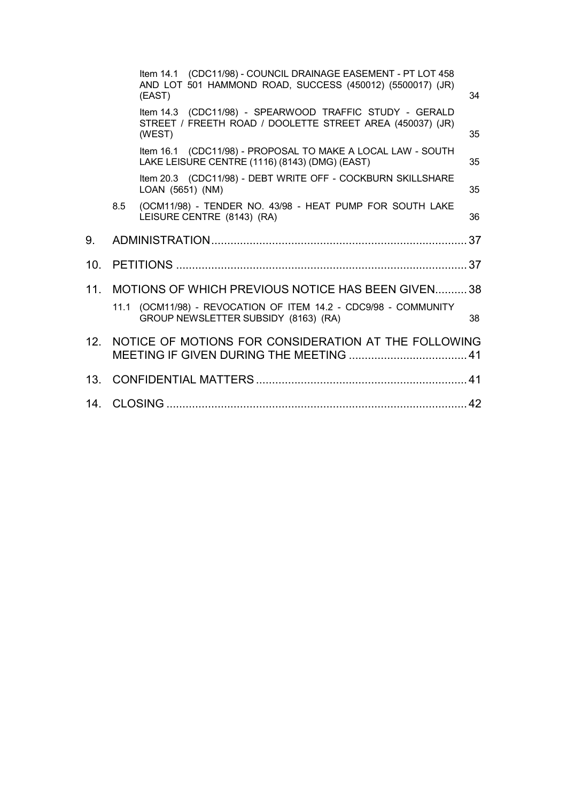|                 |     | Item 14.1 (CDC11/98) - COUNCIL DRAINAGE EASEMENT - PT LOT 458<br>AND LOT 501 HAMMOND ROAD, SUCCESS (450012) (5500017) (JR)<br>(EAST) | 34 |
|-----------------|-----|--------------------------------------------------------------------------------------------------------------------------------------|----|
|                 |     | Item 14.3 (CDC11/98) - SPEARWOOD TRAFFIC STUDY - GERALD<br>STREET / FREETH ROAD / DOOLETTE STREET AREA (450037) (JR)<br>(WEST)       | 35 |
|                 |     | Item 16.1 (CDC11/98) - PROPOSAL TO MAKE A LOCAL LAW - SOUTH<br>LAKE LEISURE CENTRE (1116) (8143) (DMG) (EAST)                        | 35 |
|                 |     | Item 20.3 (CDC11/98) - DEBT WRITE OFF - COCKBURN SKILLSHARE<br>LOAN (5651) (NM)                                                      | 35 |
|                 | 8.5 | (OCM11/98) - TENDER NO. 43/98 - HEAT PUMP FOR SOUTH LAKE<br>LEISURE CENTRE (8143) (RA)                                               | 36 |
| 9.              |     |                                                                                                                                      | 37 |
| 10.             |     |                                                                                                                                      |    |
| 11.             |     | MOTIONS OF WHICH PREVIOUS NOTICE HAS BEEN GIVEN38                                                                                    |    |
|                 |     | 11.1 (OCM11/98) - REVOCATION OF ITEM 14.2 - CDC9/98 - COMMUNITY<br>GROUP NEWSLETTER SUBSIDY (8163) (RA)                              | 38 |
| 12 <sup>1</sup> |     | NOTICE OF MOTIONS FOR CONSIDERATION AT THE FOLLOWING                                                                                 |    |
| 13.             |     |                                                                                                                                      |    |
|                 |     |                                                                                                                                      |    |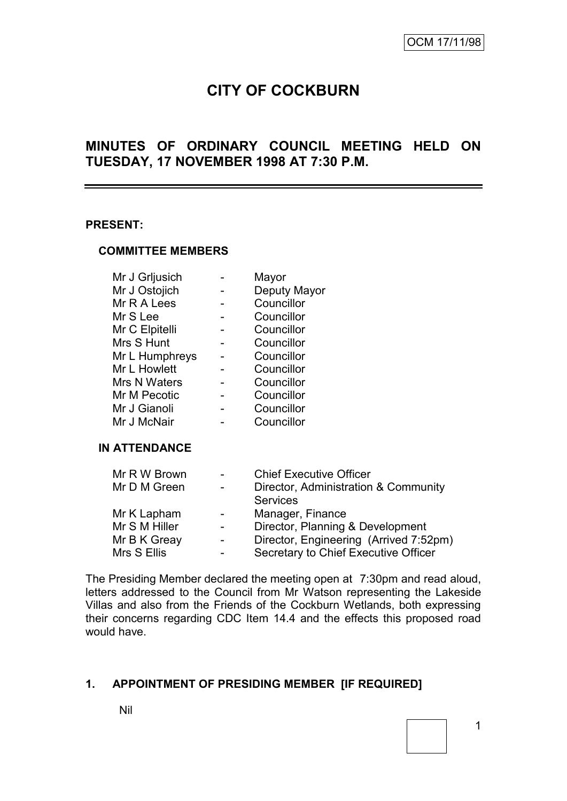# **CITY OF COCKBURN**

# **MINUTES OF ORDINARY COUNCIL MEETING HELD ON TUESDAY, 17 NOVEMBER 1998 AT 7:30 P.M.**

### **PRESENT:**

### **COMMITTEE MEMBERS**

| Mr J Grljusich | Mayor        |
|----------------|--------------|
| Mr J Ostojich  | Deputy Mayor |
| Mr R A Lees    | Councillor   |
| Mr S Lee       | Councillor   |
| Mr C Elpitelli | Councillor   |
| Mrs S Hunt     | Councillor   |
| Mr L Humphreys | Councillor   |
| Mr L Howlett   | Councillor   |
| Mrs N Waters   | Councillor   |
| Mr M Pecotic   | Councillor   |
| Mr J Gianoli   | Councillor   |
| Mr J McNair    | Councillor   |
|                |              |

### **IN ATTENDANCE**

| Mr R W Brown  |                          | <b>Chief Executive Officer</b>         |
|---------------|--------------------------|----------------------------------------|
| Mr D M Green  |                          | Director, Administration & Community   |
|               |                          | <b>Services</b>                        |
| Mr K Lapham   | $\overline{\phantom{0}}$ | Manager, Finance                       |
| Mr S M Hiller |                          | Director, Planning & Development       |
| Mr B K Greay  |                          | Director, Engineering (Arrived 7:52pm) |
| Mrs S Ellis   |                          | Secretary to Chief Executive Officer   |

The Presiding Member declared the meeting open at 7:30pm and read aloud, letters addressed to the Council from Mr Watson representing the Lakeside Villas and also from the Friends of the Cockburn Wetlands, both expressing their concerns regarding CDC Item 14.4 and the effects this proposed road would have.

### **1. APPOINTMENT OF PRESIDING MEMBER [IF REQUIRED]**

Nil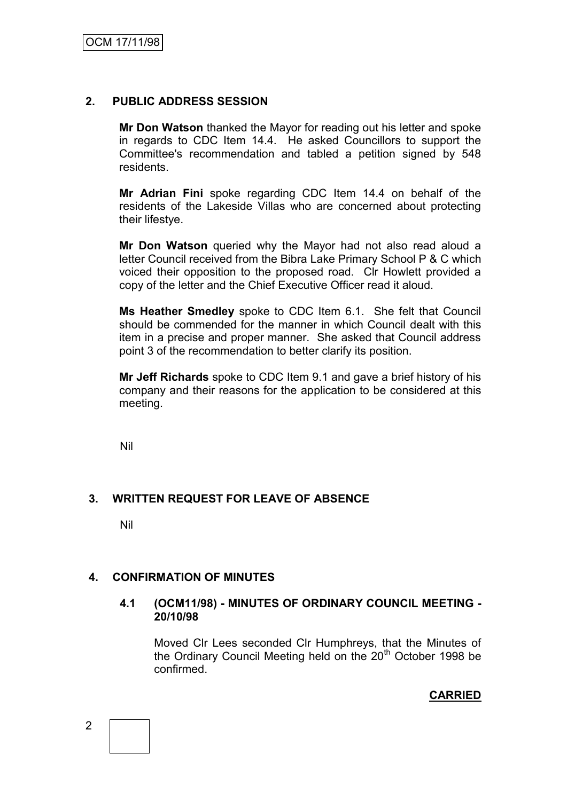# **2. PUBLIC ADDRESS SESSION**

**Mr Don Watson** thanked the Mayor for reading out his letter and spoke in regards to CDC Item 14.4. He asked Councillors to support the Committee's recommendation and tabled a petition signed by 548 residents.

**Mr Adrian Fini** spoke regarding CDC Item 14.4 on behalf of the residents of the Lakeside Villas who are concerned about protecting their lifestye.

**Mr Don Watson** queried why the Mayor had not also read aloud a letter Council received from the Bibra Lake Primary School P & C which voiced their opposition to the proposed road. Clr Howlett provided a copy of the letter and the Chief Executive Officer read it aloud.

**Ms Heather Smedley** spoke to CDC Item 6.1. She felt that Council should be commended for the manner in which Council dealt with this item in a precise and proper manner. She asked that Council address point 3 of the recommendation to better clarify its position.

**Mr Jeff Richards** spoke to CDC Item 9.1 and gave a brief history of his company and their reasons for the application to be considered at this meeting.

Nil

# **3. WRITTEN REQUEST FOR LEAVE OF ABSENCE**

Nil

### **4. CONFIRMATION OF MINUTES**

### **4.1 (OCM11/98) - MINUTES OF ORDINARY COUNCIL MEETING - 20/10/98**

Moved Clr Lees seconded Clr Humphreys, that the Minutes of the Ordinary Council Meeting held on the  $20<sup>th</sup>$  October 1998 be confirmed.

**CARRIED**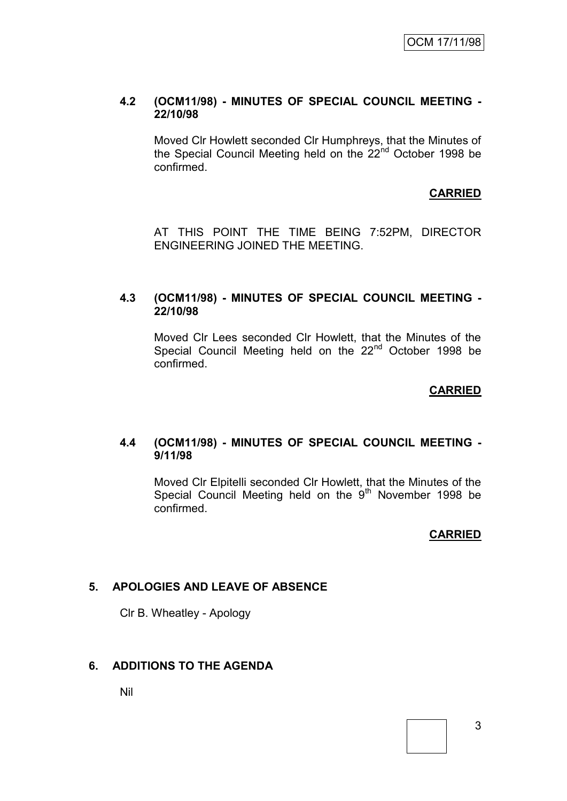### **4.2 (OCM11/98) - MINUTES OF SPECIAL COUNCIL MEETING - 22/10/98**

Moved Clr Howlett seconded Clr Humphreys, that the Minutes of the Special Council Meeting held on the 22<sup>nd</sup> October 1998 be confirmed.

# **CARRIED**

AT THIS POINT THE TIME BEING 7:52PM, DIRECTOR ENGINEERING JOINED THE MEETING.

### **4.3 (OCM11/98) - MINUTES OF SPECIAL COUNCIL MEETING - 22/10/98**

Moved Clr Lees seconded Clr Howlett, that the Minutes of the Special Council Meeting held on the 22<sup>nd</sup> October 1998 be confirmed.

### **CARRIED**

### **4.4 (OCM11/98) - MINUTES OF SPECIAL COUNCIL MEETING - 9/11/98**

Moved Clr Elpitelli seconded Clr Howlett, that the Minutes of the Special Council Meeting held on the  $9<sup>th</sup>$  November 1998 be confirmed.

### **CARRIED**

### **5. APOLOGIES AND LEAVE OF ABSENCE**

Clr B. Wheatley - Apology

### **6. ADDITIONS TO THE AGENDA**

Nil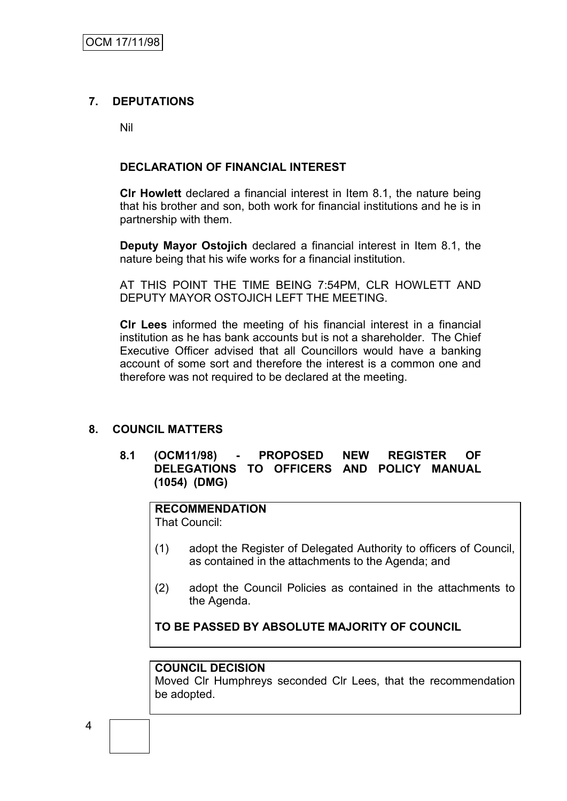# **7. DEPUTATIONS**

Nil

## **DECLARATION OF FINANCIAL INTEREST**

**Clr Howlett** declared a financial interest in Item 8.1, the nature being that his brother and son, both work for financial institutions and he is in partnership with them.

**Deputy Mayor Ostojich** declared a financial interest in Item 8.1, the nature being that his wife works for a financial institution.

AT THIS POINT THE TIME BEING 7:54PM, CLR HOWLETT AND DEPUTY MAYOR OSTOJICH LEFT THE MEETING.

**Clr Lees** informed the meeting of his financial interest in a financial institution as he has bank accounts but is not a shareholder. The Chief Executive Officer advised that all Councillors would have a banking account of some sort and therefore the interest is a common one and therefore was not required to be declared at the meeting.

# **8. COUNCIL MATTERS**

**8.1 (OCM11/98) - PROPOSED NEW REGISTER OF DELEGATIONS TO OFFICERS AND POLICY MANUAL (1054) (DMG)**

### **RECOMMENDATION**

That Council:

- (1) adopt the Register of Delegated Authority to officers of Council, as contained in the attachments to the Agenda; and
- (2) adopt the Council Policies as contained in the attachments to the Agenda.

# **TO BE PASSED BY ABSOLUTE MAJORITY OF COUNCIL**

### **COUNCIL DECISION**

Moved Clr Humphreys seconded Clr Lees, that the recommendation be adopted.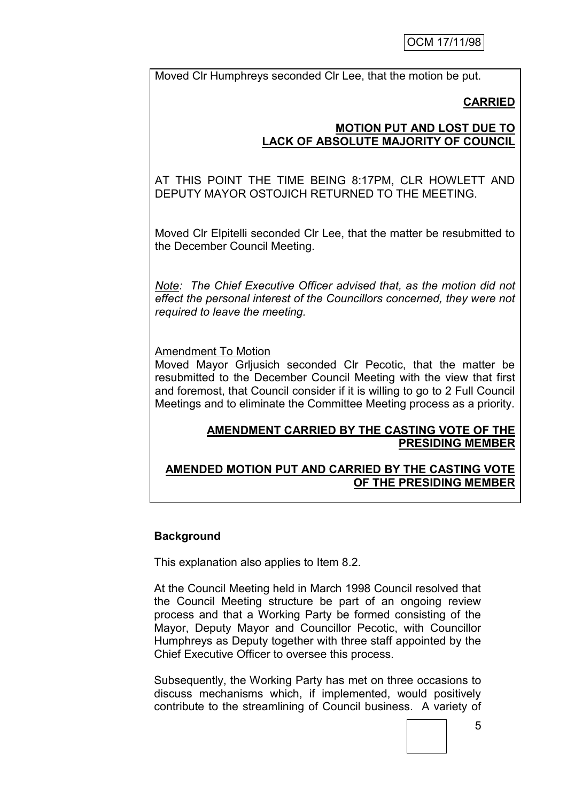Moved Clr Humphreys seconded Clr Lee, that the motion be put.

# **CARRIED**

# **MOTION PUT AND LOST DUE TO LACK OF ABSOLUTE MAJORITY OF COUNCIL**

AT THIS POINT THE TIME BEING 8:17PM, CLR HOWLETT AND DEPUTY MAYOR OSTOJICH RETURNED TO THE MEETING.

Moved Clr Elpitelli seconded Clr Lee, that the matter be resubmitted to the December Council Meeting.

*Note: The Chief Executive Officer advised that, as the motion did not effect the personal interest of the Councillors concerned, they were not required to leave the meeting.*

Amendment To Motion

Moved Mayor Grljusich seconded Clr Pecotic, that the matter be resubmitted to the December Council Meeting with the view that first and foremost, that Council consider if it is willing to go to 2 Full Council Meetings and to eliminate the Committee Meeting process as a priority.

# **AMENDMENT CARRIED BY THE CASTING VOTE OF THE PRESIDING MEMBER**

# **AMENDED MOTION PUT AND CARRIED BY THE CASTING VOTE OF THE PRESIDING MEMBER**

# **Background**

This explanation also applies to Item 8.2.

At the Council Meeting held in March 1998 Council resolved that the Council Meeting structure be part of an ongoing review process and that a Working Party be formed consisting of the Mayor, Deputy Mayor and Councillor Pecotic, with Councillor Humphreys as Deputy together with three staff appointed by the Chief Executive Officer to oversee this process.

Subsequently, the Working Party has met on three occasions to discuss mechanisms which, if implemented, would positively contribute to the streamlining of Council business. A variety of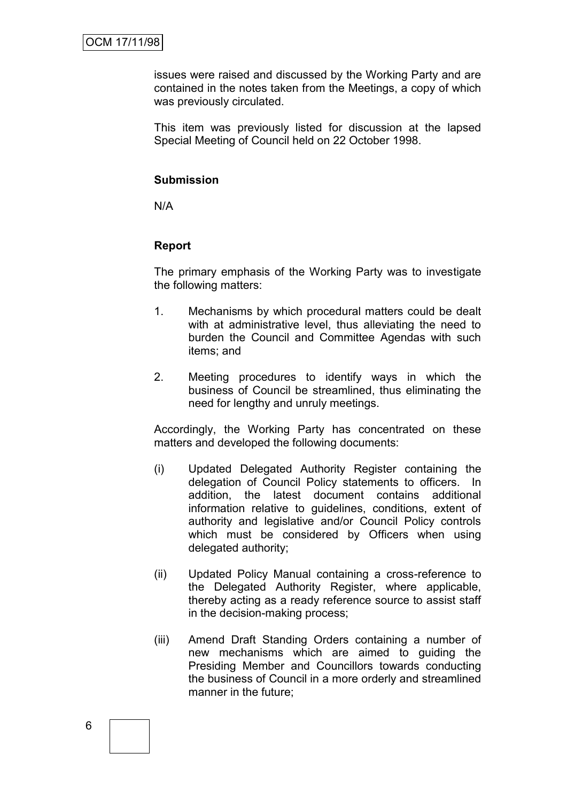issues were raised and discussed by the Working Party and are contained in the notes taken from the Meetings, a copy of which was previously circulated.

This item was previously listed for discussion at the lapsed Special Meeting of Council held on 22 October 1998.

### **Submission**

N/A

# **Report**

The primary emphasis of the Working Party was to investigate the following matters:

- 1. Mechanisms by which procedural matters could be dealt with at administrative level, thus alleviating the need to burden the Council and Committee Agendas with such items; and
- 2. Meeting procedures to identify ways in which the business of Council be streamlined, thus eliminating the need for lengthy and unruly meetings.

Accordingly, the Working Party has concentrated on these matters and developed the following documents:

- (i) Updated Delegated Authority Register containing the delegation of Council Policy statements to officers. In addition, the latest document contains additional information relative to guidelines, conditions, extent of authority and legislative and/or Council Policy controls which must be considered by Officers when using delegated authority;
- (ii) Updated Policy Manual containing a cross-reference to the Delegated Authority Register, where applicable, thereby acting as a ready reference source to assist staff in the decision-making process;
- (iii) Amend Draft Standing Orders containing a number of new mechanisms which are aimed to guiding the Presiding Member and Councillors towards conducting the business of Council in a more orderly and streamlined manner in the future;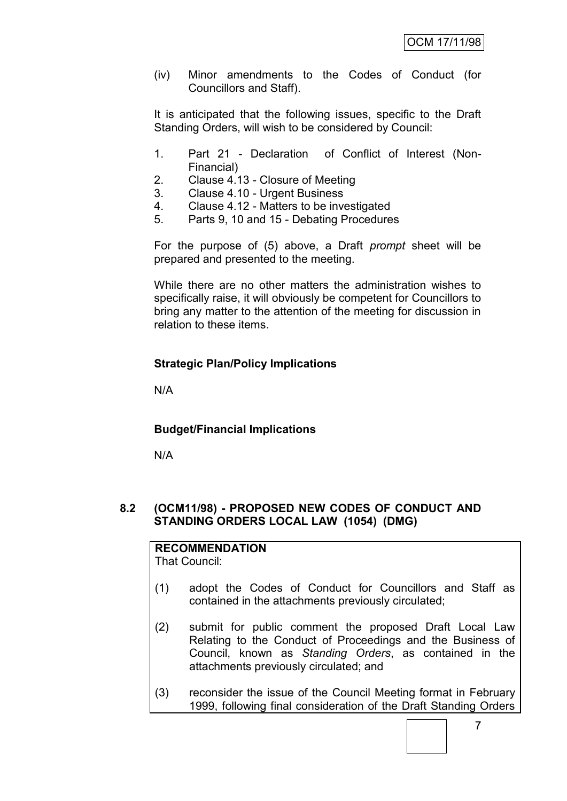(iv) Minor amendments to the Codes of Conduct (for Councillors and Staff).

It is anticipated that the following issues, specific to the Draft Standing Orders, will wish to be considered by Council:

- 1. Part 21 Declaration of Conflict of Interest (Non-Financial)
- 2. Clause 4.13 Closure of Meeting<br>3. Clause 4.10 Urgent Business
- 3. Clause 4.10 Urgent Business
- 4. Clause 4.12 Matters to be investigated
- 5. Parts 9, 10 and 15 Debating Procedures

For the purpose of (5) above, a Draft *prompt* sheet will be prepared and presented to the meeting.

While there are no other matters the administration wishes to specifically raise, it will obviously be competent for Councillors to bring any matter to the attention of the meeting for discussion in relation to these items.

# **Strategic Plan/Policy Implications**

N/A

# **Budget/Financial Implications**

N/A

# **8.2 (OCM11/98) - PROPOSED NEW CODES OF CONDUCT AND STANDING ORDERS LOCAL LAW (1054) (DMG)**

# **RECOMMENDATION**

That Council:

- (1) adopt the Codes of Conduct for Councillors and Staff as contained in the attachments previously circulated;
- (2) submit for public comment the proposed Draft Local Law Relating to the Conduct of Proceedings and the Business of Council, known as *Standing Orders*, as contained in the attachments previously circulated; and
- (3) reconsider the issue of the Council Meeting format in February 1999, following final consideration of the Draft Standing Orders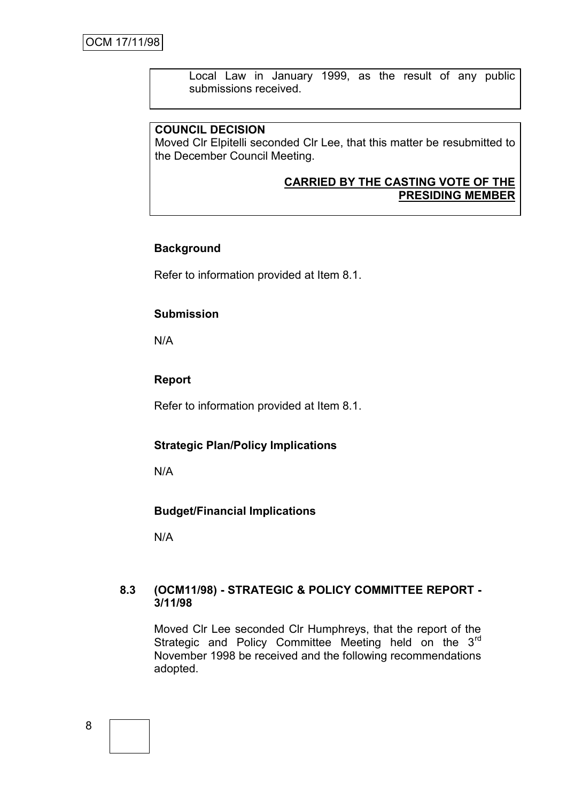Local Law in January 1999, as the result of any public submissions received.

# **COUNCIL DECISION**

Moved Clr Elpitelli seconded Clr Lee, that this matter be resubmitted to the December Council Meeting.

### **CARRIED BY THE CASTING VOTE OF THE PRESIDING MEMBER**

### **Background**

Refer to information provided at Item 8.1.

### **Submission**

N/A

### **Report**

Refer to information provided at Item 8.1.

### **Strategic Plan/Policy Implications**

N/A

### **Budget/Financial Implications**

N/A

### **8.3 (OCM11/98) - STRATEGIC & POLICY COMMITTEE REPORT - 3/11/98**

Moved Clr Lee seconded Clr Humphreys, that the report of the Strategic and Policy Committee Meeting held on the 3<sup>rd</sup> November 1998 be received and the following recommendations adopted.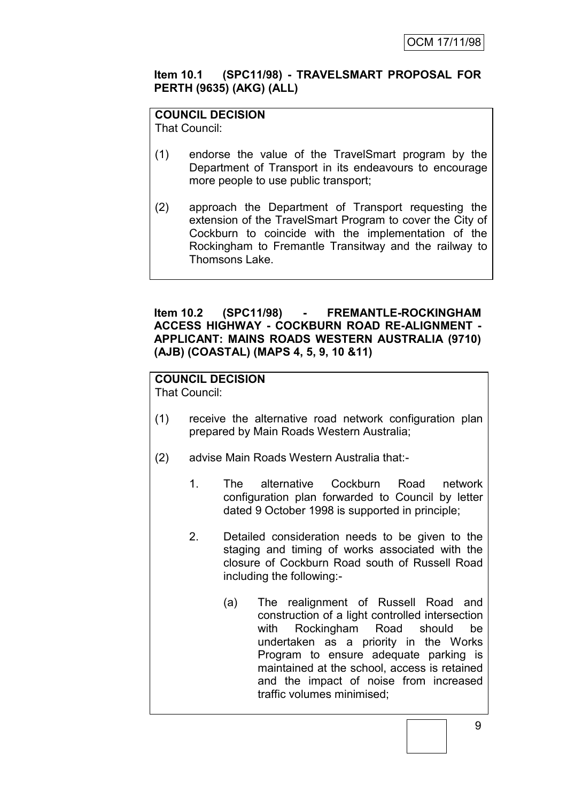# **Item 10.1 (SPC11/98) - TRAVELSMART PROPOSAL FOR PERTH (9635) (AKG) (ALL)**

**COUNCIL DECISION**

That Council:

- (1) endorse the value of the TravelSmart program by the Department of Transport in its endeavours to encourage more people to use public transport;
- (2) approach the Department of Transport requesting the extension of the TravelSmart Program to cover the City of Cockburn to coincide with the implementation of the Rockingham to Fremantle Transitway and the railway to Thomsons Lake.

# **Item 10.2 (SPC11/98) - FREMANTLE-ROCKINGHAM ACCESS HIGHWAY - COCKBURN ROAD RE-ALIGNMENT - APPLICANT: MAINS ROADS WESTERN AUSTRALIA (9710) (AJB) (COASTAL) (MAPS 4, 5, 9, 10 &11)**

# **COUNCIL DECISION**

That Council:

- (1) receive the alternative road network configuration plan prepared by Main Roads Western Australia;
- (2) advise Main Roads Western Australia that:-
	- 1. The alternative Cockburn Road network configuration plan forwarded to Council by letter dated 9 October 1998 is supported in principle;
	- 2. Detailed consideration needs to be given to the staging and timing of works associated with the closure of Cockburn Road south of Russell Road including the following:-
		- (a) The realignment of Russell Road and construction of a light controlled intersection with Rockingham Road should be undertaken as a priority in the Works Program to ensure adequate parking is maintained at the school, access is retained and the impact of noise from increased traffic volumes minimised;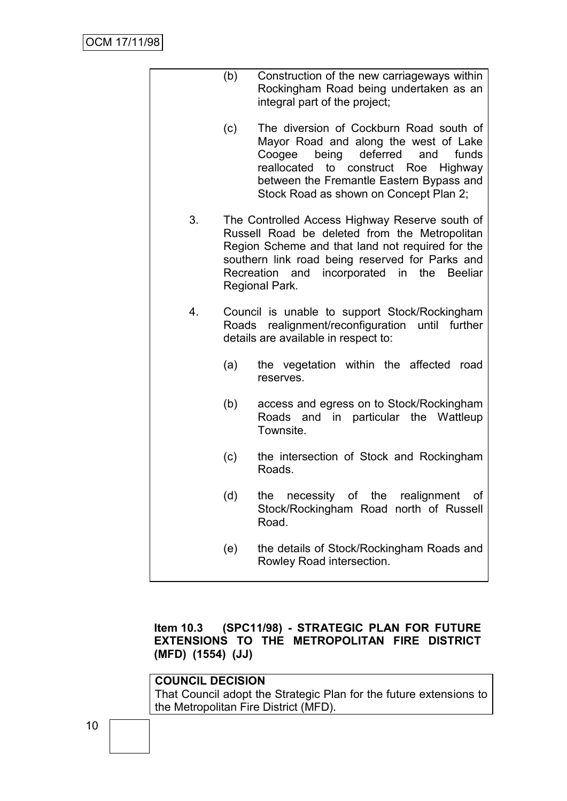|    | (b) | Construction of the new carriageways within<br>Rockingham Road being undertaken as an<br>integral part of the project;                                                                                                                                                                 |
|----|-----|----------------------------------------------------------------------------------------------------------------------------------------------------------------------------------------------------------------------------------------------------------------------------------------|
|    | (c) | The diversion of Cockburn Road south of<br>Mayor Road and along the west of Lake<br>deferred<br>Coogee<br>being<br>and<br>funds<br>reallocated to<br>construct<br>Highway<br>Roe<br>between the Fremantle Eastern Bypass and<br>Stock Road as shown on Concept Plan 2;                 |
| 3. |     | The Controlled Access Highway Reserve south of<br>Russell Road be deleted from the Metropolitan<br>Region Scheme and that land not required for the<br>southern link road being reserved for Parks and<br>incorporated in<br>Recreation and<br>the<br><b>Beeliar</b><br>Regional Park. |
| 4. |     | Council is unable to support Stock/Rockingham<br>Roads realignment/reconfiguration<br>until further<br>details are available in respect to:                                                                                                                                            |
|    | (a) | the vegetation within the affected<br>road<br>reserves.                                                                                                                                                                                                                                |
|    | (b) | access and egress on to Stock/Rockingham<br>and in particular the Wattleup<br>Roads<br>Townsite.                                                                                                                                                                                       |
|    | (c) | the intersection of Stock and Rockingham<br>Roads.                                                                                                                                                                                                                                     |
|    | (d) | necessity<br>of the realignment<br>the<br>Οf<br>Stock/Rockingham Road north of Russell<br>Road.                                                                                                                                                                                        |
|    | (e) | the details of Stock/Rockingham Roads and<br>Rowley Road intersection.                                                                                                                                                                                                                 |

# **Item 10.3 (SPC11/98) - STRATEGIC PLAN FOR FUTURE EXTENSIONS TO THE METROPOLITAN FIRE DISTRICT (MFD) (1554) (JJ)**

# **COUNCIL DECISION** That Council adopt the Strategic Plan for the future extensions to the Metropolitan Fire District (MFD).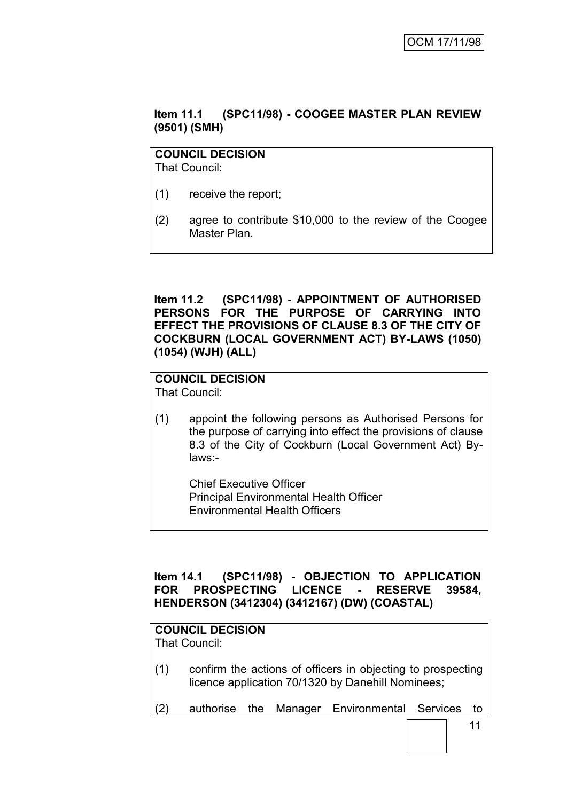# **Item 11.1 (SPC11/98) - COOGEE MASTER PLAN REVIEW (9501) (SMH)**

# **COUNCIL DECISION**

That Council:

- (1) receive the report;
- (2) agree to contribute \$10,000 to the review of the Coogee Master Plan.

### **Item 11.2 (SPC11/98) - APPOINTMENT OF AUTHORISED PERSONS FOR THE PURPOSE OF CARRYING INTO EFFECT THE PROVISIONS OF CLAUSE 8.3 OF THE CITY OF COCKBURN (LOCAL GOVERNMENT ACT) BY-LAWS (1050) (1054) (WJH) (ALL)**

# **COUNCIL DECISION**

That Council:

(1) appoint the following persons as Authorised Persons for the purpose of carrying into effect the provisions of clause 8.3 of the City of Cockburn (Local Government Act) Bylaws:-

Chief Executive Officer Principal Environmental Health Officer Environmental Health Officers

# **Item 14.1 (SPC11/98) - OBJECTION TO APPLICATION FOR PROSPECTING LICENCE - RESERVE 39584, HENDERSON (3412304) (3412167) (DW) (COASTAL)**

# **COUNCIL DECISION**

That Council:

- (1) confirm the actions of officers in objecting to prospecting licence application 70/1320 by Danehill Nominees;
- (2) authorise the Manager Environmental Services to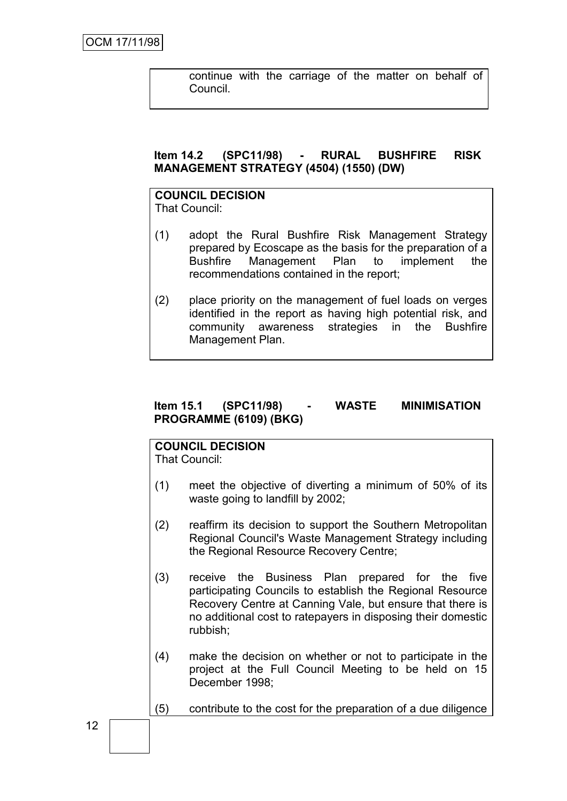continue with the carriage of the matter on behalf of Council.

# **Item 14.2 (SPC11/98) - RURAL BUSHFIRE RISK MANAGEMENT STRATEGY (4504) (1550) (DW)**

# **COUNCIL DECISION**

That Council:

- (1) adopt the Rural Bushfire Risk Management Strategy prepared by Ecoscape as the basis for the preparation of a Bushfire Management Plan to implement the recommendations contained in the report;
- (2) place priority on the management of fuel loads on verges identified in the report as having high potential risk, and community awareness strategies in the Bushfire Management Plan.

# **Item 15.1 (SPC11/98) - WASTE MINIMISATION PROGRAMME (6109) (BKG)**

# **COUNCIL DECISION**

That Council:

- (1) meet the objective of diverting a minimum of 50% of its waste going to landfill by 2002;
- (2) reaffirm its decision to support the Southern Metropolitan Regional Council's Waste Management Strategy including the Regional Resource Recovery Centre;
- (3) receive the Business Plan prepared for the five participating Councils to establish the Regional Resource Recovery Centre at Canning Vale, but ensure that there is no additional cost to ratepayers in disposing their domestic rubbish;
- (4) make the decision on whether or not to participate in the project at the Full Council Meeting to be held on 15 December 1998;
- (5) contribute to the cost for the preparation of a due diligence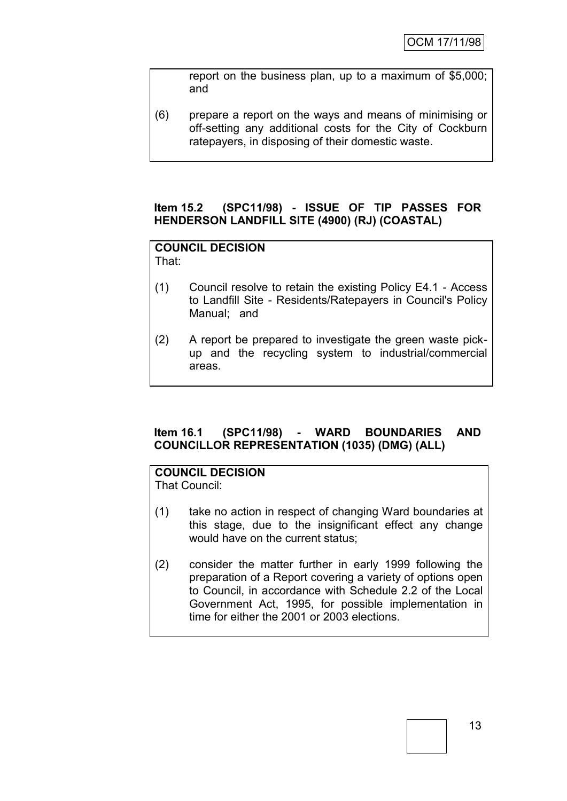report on the business plan, up to a maximum of \$5,000; and

(6) prepare a report on the ways and means of minimising or off-setting any additional costs for the City of Cockburn ratepayers, in disposing of their domestic waste.

## **Item 15.2 (SPC11/98) - ISSUE OF TIP PASSES FOR HENDERSON LANDFILL SITE (4900) (RJ) (COASTAL)**

# **COUNCIL DECISION**

That:

- (1) Council resolve to retain the existing Policy E4.1 Access to Landfill Site - Residents/Ratepayers in Council's Policy Manual; and
- (2) A report be prepared to investigate the green waste pickup and the recycling system to industrial/commercial areas.

# **Item 16.1 (SPC11/98) - WARD BOUNDARIES AND COUNCILLOR REPRESENTATION (1035) (DMG) (ALL)**

# **COUNCIL DECISION**

That Council:

- (1) take no action in respect of changing Ward boundaries at this stage, due to the insignificant effect any change would have on the current status;
- (2) consider the matter further in early 1999 following the preparation of a Report covering a variety of options open to Council, in accordance with Schedule 2.2 of the Local Government Act, 1995, for possible implementation in time for either the 2001 or 2003 elections.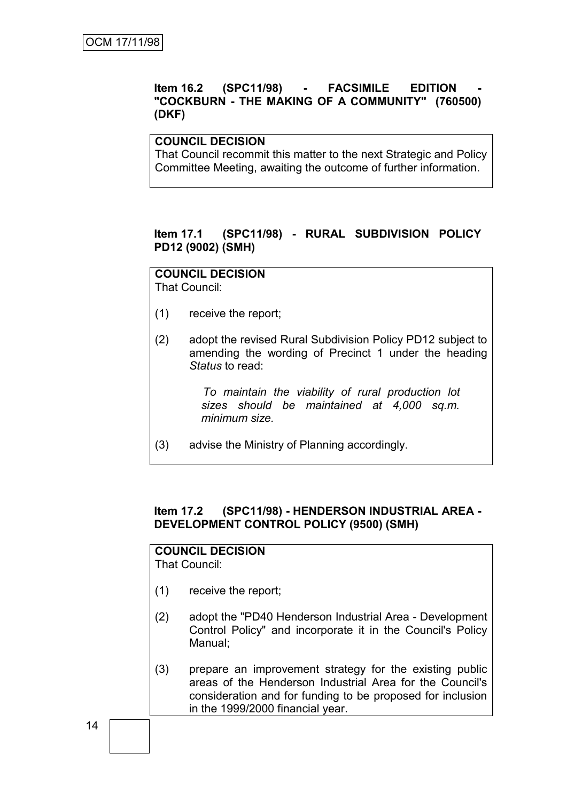# **Item 16.2 (SPC11/98) - FACSIMILE EDITION - "COCKBURN - THE MAKING OF A COMMUNITY" (760500) (DKF)**

### **COUNCIL DECISION**

That Council recommit this matter to the next Strategic and Policy Committee Meeting, awaiting the outcome of further information.

### **Item 17.1 (SPC11/98) - RURAL SUBDIVISION POLICY PD12 (9002) (SMH)**

# **COUNCIL DECISION**

That Council:

- (1) receive the report;
- (2) adopt the revised Rural Subdivision Policy PD12 subject to amending the wording of Precinct 1 under the heading *Status* to read:

*To maintain the viability of rural production lot sizes should be maintained at 4,000 sq.m. minimum size.*

(3) advise the Ministry of Planning accordingly.

# **Item 17.2 (SPC11/98) - HENDERSON INDUSTRIAL AREA - DEVELOPMENT CONTROL POLICY (9500) (SMH)**

# **COUNCIL DECISION**

That Council:

- (1) receive the report;
- (2) adopt the "PD40 Henderson Industrial Area Development Control Policy" and incorporate it in the Council's Policy Manual;
- (3) prepare an improvement strategy for the existing public areas of the Henderson Industrial Area for the Council's consideration and for funding to be proposed for inclusion in the 1999/2000 financial year.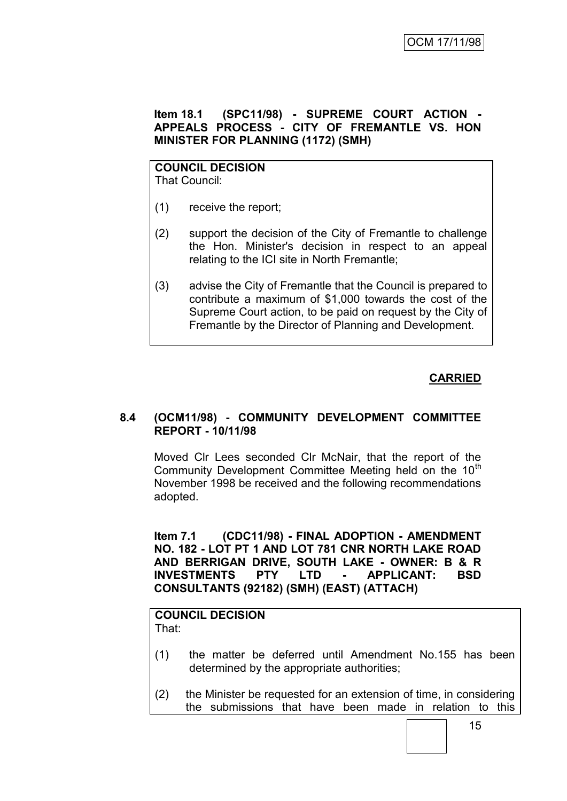# **Item 18.1 (SPC11/98) - SUPREME COURT ACTION - APPEALS PROCESS - CITY OF FREMANTLE VS. HON MINISTER FOR PLANNING (1172) (SMH)**

### **COUNCIL DECISION** That Council:

- (1) receive the report;
- (2) support the decision of the City of Fremantle to challenge the Hon. Minister's decision in respect to an appeal relating to the ICI site in North Fremantle;
- (3) advise the City of Fremantle that the Council is prepared to contribute a maximum of \$1,000 towards the cost of the Supreme Court action, to be paid on request by the City of Fremantle by the Director of Planning and Development.

# **CARRIED**

# **8.4 (OCM11/98) - COMMUNITY DEVELOPMENT COMMITTEE REPORT - 10/11/98**

Moved Clr Lees seconded Clr McNair, that the report of the Community Development Committee Meeting held on the 10<sup>th</sup> November 1998 be received and the following recommendations adopted.

**Item 7.1 (CDC11/98) - FINAL ADOPTION - AMENDMENT NO. 182 - LOT PT 1 AND LOT 781 CNR NORTH LAKE ROAD AND BERRIGAN DRIVE, SOUTH LAKE - OWNER: B & R INVESTMENTS PTY LTD - APPLICANT: BSD CONSULTANTS (92182) (SMH) (EAST) (ATTACH)**

### **COUNCIL DECISION** That:

- (1) the matter be deferred until Amendment No.155 has been determined by the appropriate authorities;
- (2) the Minister be requested for an extension of time, in considering the submissions that have been made in relation to this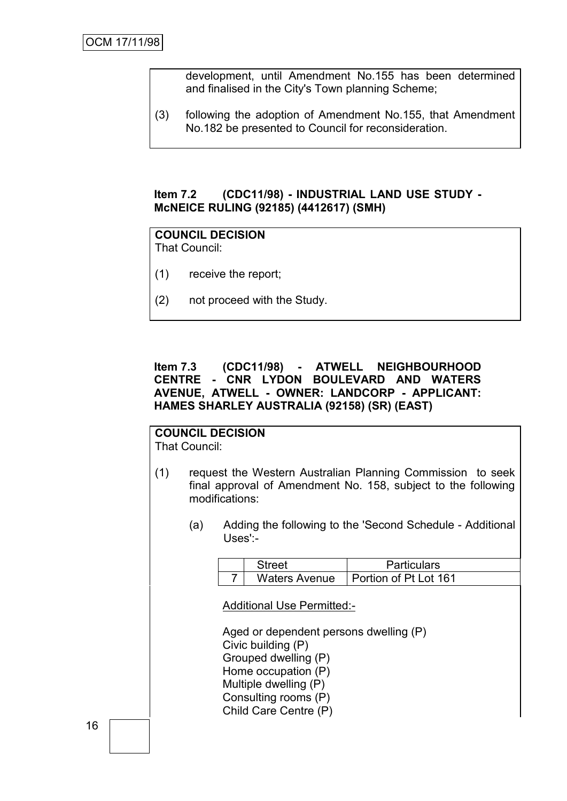development, until Amendment No.155 has been determined and finalised in the City's Town planning Scheme;

(3) following the adoption of Amendment No.155, that Amendment No.182 be presented to Council for reconsideration.

### **Item 7.2 (CDC11/98) - INDUSTRIAL LAND USE STUDY - McNEICE RULING (92185) (4412617) (SMH)**

### **COUNCIL DECISION** That Council:

- (1) receive the report;
- (2) not proceed with the Study.

### **Item 7.3 (CDC11/98) - ATWELL NEIGHBOURHOOD CENTRE - CNR LYDON BOULEVARD AND WATERS AVENUE, ATWELL - OWNER: LANDCORP - APPLICANT: HAMES SHARLEY AUSTRALIA (92158) (SR) (EAST)**

#### **COUNCIL DECISION** That Council:

- (1) request the Western Australian Planning Commission to seek final approval of Amendment No. 158, subject to the following modifications:
	- (a) Adding the following to the 'Second Schedule Additional Uses':-

| Street               | <b>Particulars</b>    |
|----------------------|-----------------------|
| <b>Waters Avenue</b> | Portion of Pt Lot 161 |

Additional Use Permitted:-

Aged or dependent persons dwelling (P) Civic building (P) Grouped dwelling (P) Home occupation (P) Multiple dwelling (P) Consulting rooms (P) Child Care Centre (P)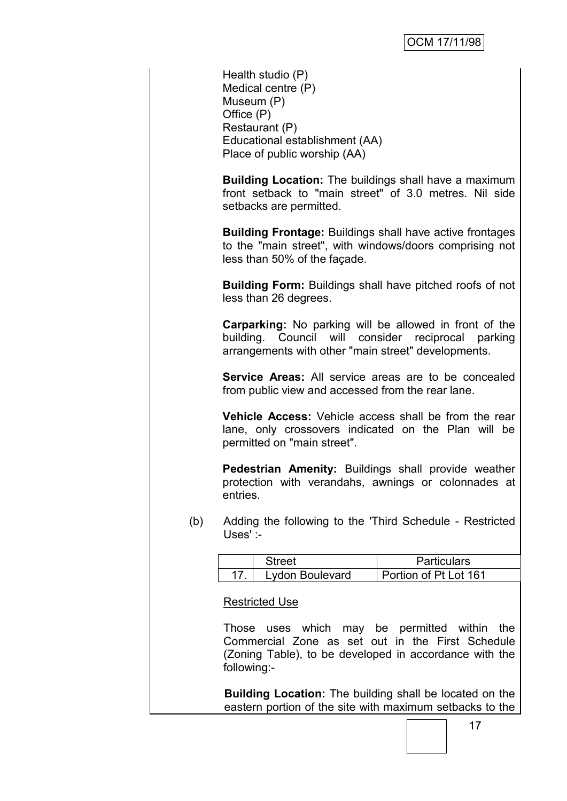Health studio (P) Medical centre (P) Museum (P) Office (P) Restaurant (P) Educational establishment (AA) Place of public worship (AA)

**Building Location:** The buildings shall have a maximum front setback to "main street" of 3.0 metres. Nil side setbacks are permitted.

**Building Frontage:** Buildings shall have active frontages to the "main street", with windows/doors comprising not less than 50% of the façade.

**Building Form:** Buildings shall have pitched roofs of not less than 26 degrees.

**Carparking:** No parking will be allowed in front of the building. Council will consider reciprocal parking arrangements with other "main street" developments.

**Service Areas:** All service areas are to be concealed from public view and accessed from the rear lane.

**Vehicle Access:** Vehicle access shall be from the rear lane, only crossovers indicated on the Plan will be permitted on "main street".

**Pedestrian Amenity:** Buildings shall provide weather protection with verandahs, awnings or colonnades at entries.

(b) Adding the following to the 'Third Schedule - Restricted Uses' :-

| Street          | <b>Particulars</b>           |
|-----------------|------------------------------|
| Lydon Boulevard | <b>Portion of Pt Lot 161</b> |

Restricted Use

Those uses which may be permitted within the Commercial Zone as set out in the First Schedule (Zoning Table), to be developed in accordance with the following:-

**Building Location:** The building shall be located on the eastern portion of the site with maximum setbacks to the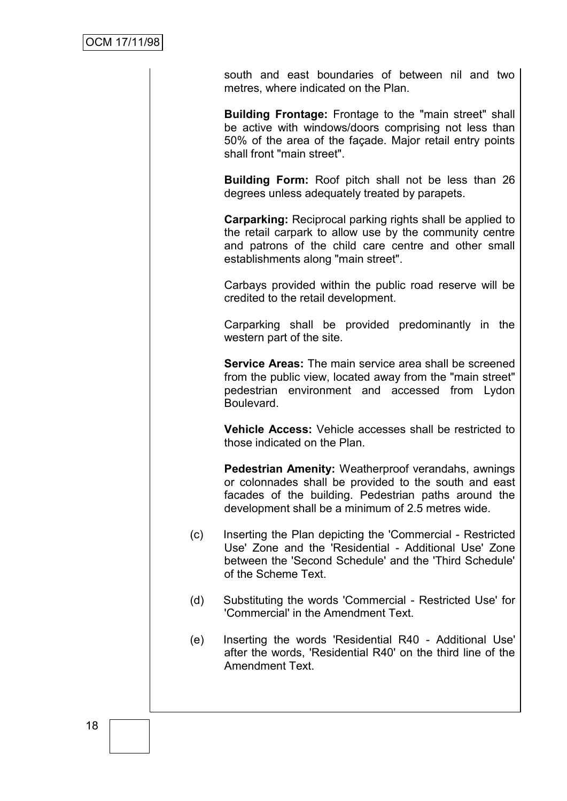south and east boundaries of between nil and two metres, where indicated on the Plan.

**Building Frontage:** Frontage to the "main street" shall be active with windows/doors comprising not less than 50% of the area of the façade. Major retail entry points shall front "main street".

**Building Form:** Roof pitch shall not be less than 26 degrees unless adequately treated by parapets.

**Carparking:** Reciprocal parking rights shall be applied to the retail carpark to allow use by the community centre and patrons of the child care centre and other small establishments along "main street".

Carbays provided within the public road reserve will be credited to the retail development.

Carparking shall be provided predominantly in the western part of the site.

**Service Areas:** The main service area shall be screened from the public view, located away from the "main street" pedestrian environment and accessed from Lydon Boulevard.

**Vehicle Access:** Vehicle accesses shall be restricted to those indicated on the Plan.

**Pedestrian Amenity:** Weatherproof verandahs, awnings or colonnades shall be provided to the south and east facades of the building. Pedestrian paths around the development shall be a minimum of 2.5 metres wide.

- (c) Inserting the Plan depicting the 'Commercial Restricted Use' Zone and the 'Residential - Additional Use' Zone between the 'Second Schedule' and the 'Third Schedule' of the Scheme Text.
- (d) Substituting the words 'Commercial Restricted Use' for 'Commercial' in the Amendment Text.
- (e) Inserting the words 'Residential R40 Additional Use' after the words, 'Residential R40' on the third line of the Amendment Text.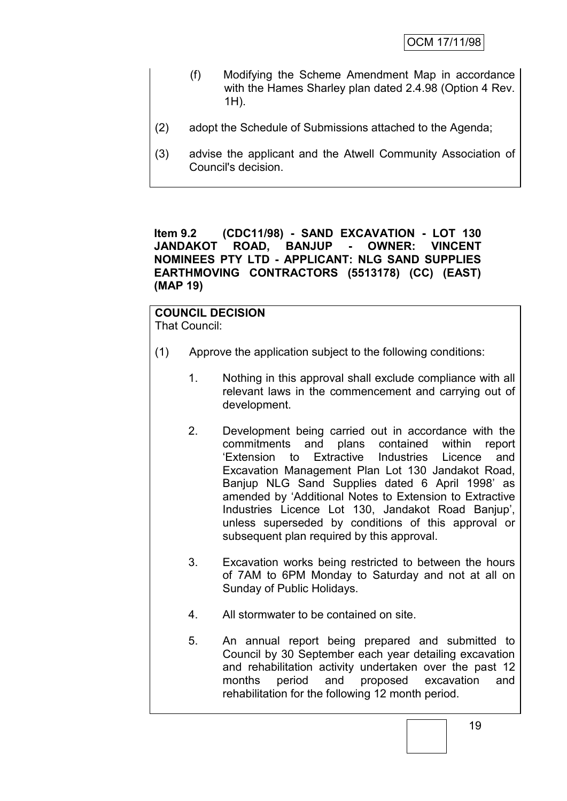- (f) Modifying the Scheme Amendment Map in accordance with the Hames Sharley plan dated 2.4.98 (Option 4 Rev. 1H).
- (2) adopt the Schedule of Submissions attached to the Agenda;
- (3) advise the applicant and the Atwell Community Association of Council's decision.

**Item 9.2 (CDC11/98) - SAND EXCAVATION - LOT 130 JANDAKOT ROAD, BANJUP - OWNER: VINCENT NOMINEES PTY LTD - APPLICANT: NLG SAND SUPPLIES EARTHMOVING CONTRACTORS (5513178) (CC) (EAST) (MAP 19)**

### **COUNCIL DECISION** That Council:

- (1) Approve the application subject to the following conditions:
	- 1. Nothing in this approval shall exclude compliance with all relevant laws in the commencement and carrying out of development.
	- 2. Development being carried out in accordance with the commitments and plans contained within report "Extension to Extractive Industries Licence and Excavation Management Plan Lot 130 Jandakot Road, Banjup NLG Sand Supplies dated 6 April 1998' as amended by "Additional Notes to Extension to Extractive Industries Licence Lot 130, Jandakot Road Banjup", unless superseded by conditions of this approval or subsequent plan required by this approval.
	- 3. Excavation works being restricted to between the hours of 7AM to 6PM Monday to Saturday and not at all on Sunday of Public Holidays.
	- 4. All stormwater to be contained on site.
	- 5. An annual report being prepared and submitted to Council by 30 September each year detailing excavation and rehabilitation activity undertaken over the past 12 months period and proposed excavation and rehabilitation for the following 12 month period.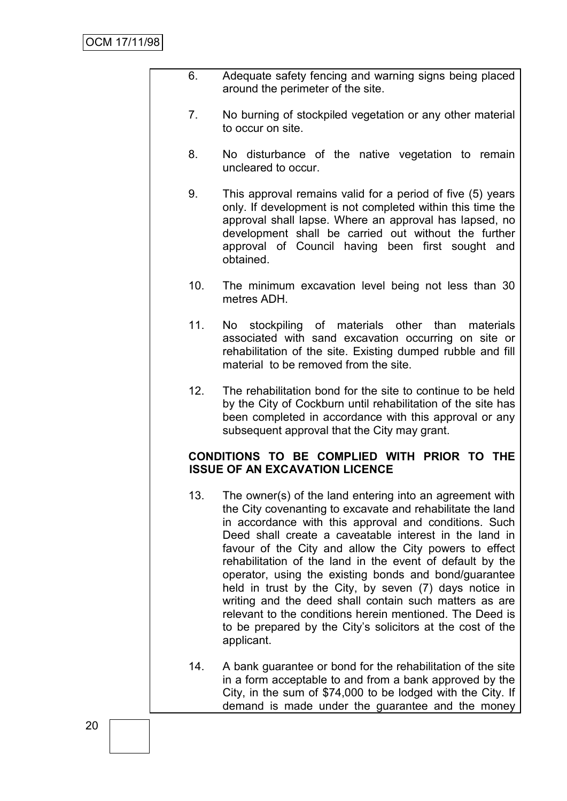- 6. Adequate safety fencing and warning signs being placed around the perimeter of the site.
- 7. No burning of stockpiled vegetation or any other material to occur on site.
- 8. No disturbance of the native vegetation to remain uncleared to occur.
- 9. This approval remains valid for a period of five (5) years only. If development is not completed within this time the approval shall lapse. Where an approval has lapsed, no development shall be carried out without the further approval of Council having been first sought and obtained.
- 10. The minimum excavation level being not less than 30 metres ADH.
- 11. No stockpiling of materials other than materials associated with sand excavation occurring on site or rehabilitation of the site. Existing dumped rubble and fill material to be removed from the site.
- 12. The rehabilitation bond for the site to continue to be held by the City of Cockburn until rehabilitation of the site has been completed in accordance with this approval or any subsequent approval that the City may grant.

# **CONDITIONS TO BE COMPLIED WITH PRIOR TO THE ISSUE OF AN EXCAVATION LICENCE**

- 13. The owner(s) of the land entering into an agreement with the City covenanting to excavate and rehabilitate the land in accordance with this approval and conditions. Such Deed shall create a caveatable interest in the land in favour of the City and allow the City powers to effect rehabilitation of the land in the event of default by the operator, using the existing bonds and bond/guarantee held in trust by the City, by seven (7) days notice in writing and the deed shall contain such matters as are relevant to the conditions herein mentioned. The Deed is to be prepared by the City"s solicitors at the cost of the applicant.
- 14. A bank guarantee or bond for the rehabilitation of the site in a form acceptable to and from a bank approved by the City, in the sum of \$74,000 to be lodged with the City. If demand is made under the guarantee and the money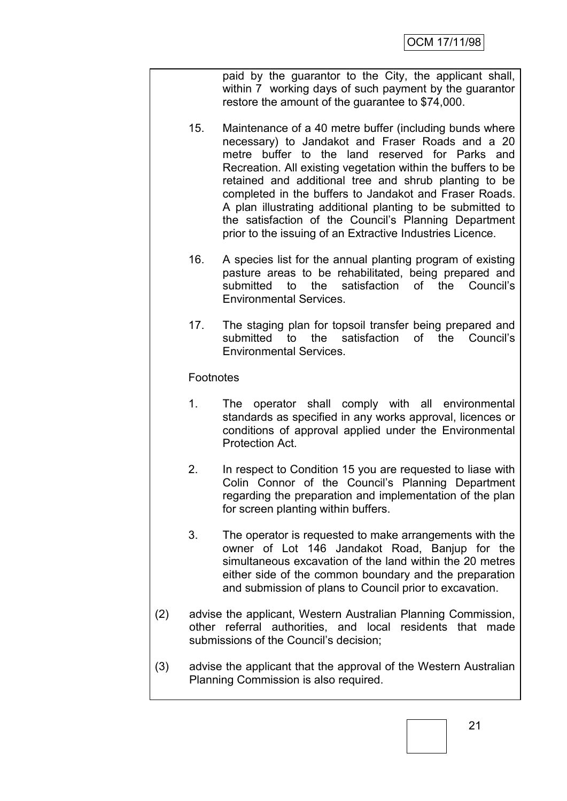paid by the guarantor to the City, the applicant shall, within 7 working days of such payment by the guarantor restore the amount of the guarantee to \$74,000.

- 15. Maintenance of a 40 metre buffer (including bunds where necessary) to Jandakot and Fraser Roads and a 20 metre buffer to the land reserved for Parks and Recreation. All existing vegetation within the buffers to be retained and additional tree and shrub planting to be completed in the buffers to Jandakot and Fraser Roads. A plan illustrating additional planting to be submitted to the satisfaction of the Council"s Planning Department prior to the issuing of an Extractive Industries Licence.
- 16. A species list for the annual planting program of existing pasture areas to be rehabilitated, being prepared and submitted to the satisfaction of the Council's Environmental Services.
- 17. The staging plan for topsoil transfer being prepared and submitted to the satisfaction of the Council's Environmental Services.

Footnotes

- 1. The operator shall comply with all environmental standards as specified in any works approval, licences or conditions of approval applied under the Environmental Protection Act.
- 2. In respect to Condition 15 you are requested to liase with Colin Connor of the Council"s Planning Department regarding the preparation and implementation of the plan for screen planting within buffers.
- 3. The operator is requested to make arrangements with the owner of Lot 146 Jandakot Road, Banjup for the simultaneous excavation of the land within the 20 metres either side of the common boundary and the preparation and submission of plans to Council prior to excavation.
- (2) advise the applicant, Western Australian Planning Commission, other referral authorities, and local residents that made submissions of the Council's decision;
- (3) advise the applicant that the approval of the Western Australian Planning Commission is also required.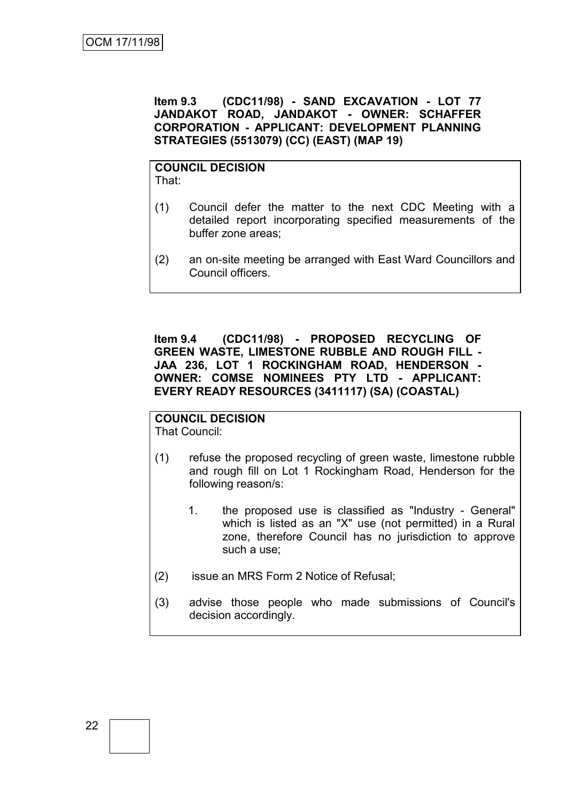**Item 9.3 (CDC11/98) - SAND EXCAVATION - LOT 77 JANDAKOT ROAD, JANDAKOT - OWNER: SCHAFFER CORPORATION - APPLICANT: DEVELOPMENT PLANNING STRATEGIES (5513079) (CC) (EAST) (MAP 19)**

### **COUNCIL DECISION** That:

- (1) Council defer the matter to the next CDC Meeting with a detailed report incorporating specified measurements of the buffer zone areas;
- (2) an on-site meeting be arranged with East Ward Councillors and Council officers.

**Item 9.4 (CDC11/98) - PROPOSED RECYCLING OF GREEN WASTE, LIMESTONE RUBBLE AND ROUGH FILL - JAA 236, LOT 1 ROCKINGHAM ROAD, HENDERSON - OWNER: COMSE NOMINEES PTY LTD - APPLICANT: EVERY READY RESOURCES (3411117) (SA) (COASTAL)**

# **COUNCIL DECISION**

That Council:

- (1) refuse the proposed recycling of green waste, limestone rubble and rough fill on Lot 1 Rockingham Road, Henderson for the following reason/s:
	- 1. the proposed use is classified as "Industry General" which is listed as an "X" use (not permitted) in a Rural zone, therefore Council has no jurisdiction to approve such a use;
- (2) issue an MRS Form 2 Notice of Refusal;
- (3) advise those people who made submissions of Council's decision accordingly.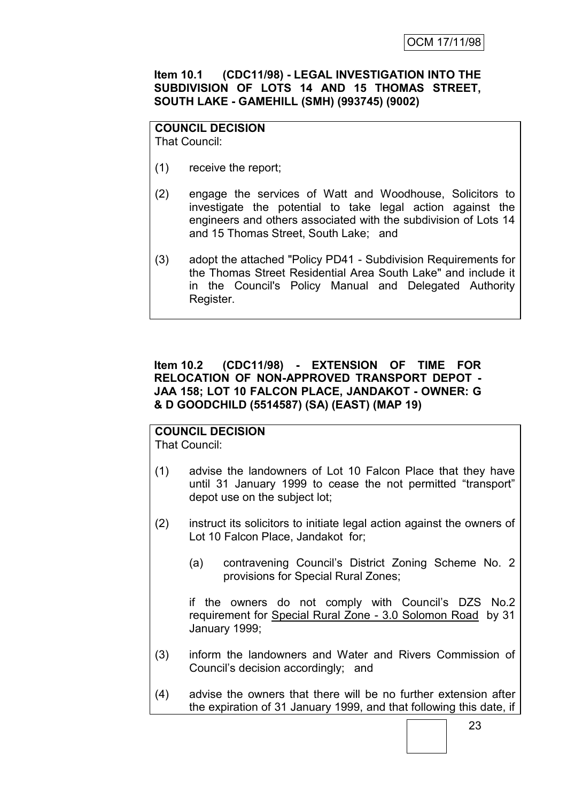# **Item 10.1 (CDC11/98) - LEGAL INVESTIGATION INTO THE SUBDIVISION OF LOTS 14 AND 15 THOMAS STREET, SOUTH LAKE - GAMEHILL (SMH) (993745) (9002)**

#### **COUNCIL DECISION** That Council:

- (1) receive the report;
- (2) engage the services of Watt and Woodhouse, Solicitors to investigate the potential to take legal action against the engineers and others associated with the subdivision of Lots 14 and 15 Thomas Street, South Lake; and
- (3) adopt the attached "Policy PD41 Subdivision Requirements for the Thomas Street Residential Area South Lake" and include it in the Council's Policy Manual and Delegated Authority Register.

# **Item 10.2 (CDC11/98) - EXTENSION OF TIME FOR RELOCATION OF NON-APPROVED TRANSPORT DEPOT - JAA 158; LOT 10 FALCON PLACE, JANDAKOT - OWNER: G & D GOODCHILD (5514587) (SA) (EAST) (MAP 19)**

### **COUNCIL DECISION** That Council:

- (1) advise the landowners of Lot 10 Falcon Place that they have until 31 January 1999 to cease the not permitted "transport" depot use on the subject lot;
- (2) instruct its solicitors to initiate legal action against the owners of Lot 10 Falcon Place, Jandakot for;
	- (a) contravening Council"s District Zoning Scheme No. 2 provisions for Special Rural Zones;

if the owners do not comply with Council"s DZS No.2 requirement for Special Rural Zone - 3.0 Solomon Road by 31 January 1999;

- (3) inform the landowners and Water and Rivers Commission of Council"s decision accordingly; and
- (4) advise the owners that there will be no further extension after the expiration of 31 January 1999, and that following this date, if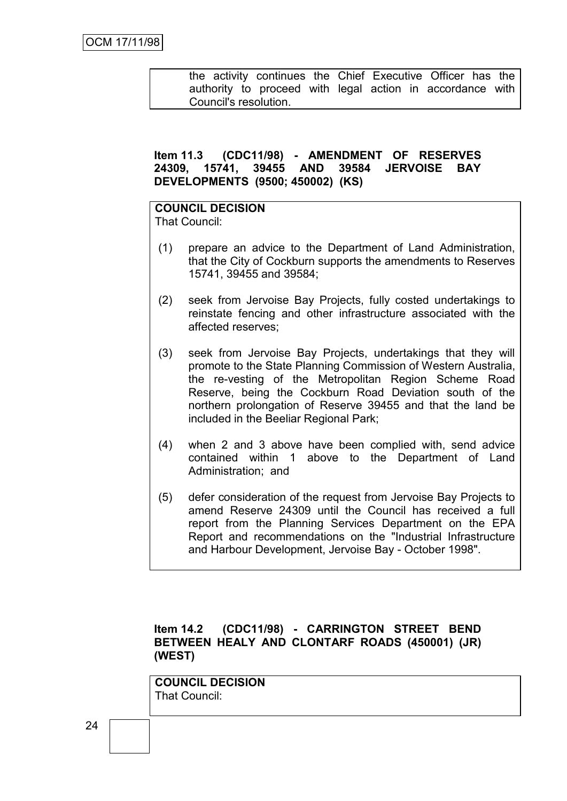the activity continues the Chief Executive Officer has the authority to proceed with legal action in accordance with Council's resolution.

### **Item 11.3 (CDC11/98) - AMENDMENT OF RESERVES 24309, 15741, 39455 AND 39584 JERVOISE BAY DEVELOPMENTS (9500; 450002) (KS)**

# **COUNCIL DECISION**

That Council:

- (1) prepare an advice to the Department of Land Administration, that the City of Cockburn supports the amendments to Reserves 15741, 39455 and 39584;
- (2) seek from Jervoise Bay Projects, fully costed undertakings to reinstate fencing and other infrastructure associated with the affected reserves;
- (3) seek from Jervoise Bay Projects, undertakings that they will promote to the State Planning Commission of Western Australia, the re-vesting of the Metropolitan Region Scheme Road Reserve, being the Cockburn Road Deviation south of the northern prolongation of Reserve 39455 and that the land be included in the Beeliar Regional Park;
- (4) when 2 and 3 above have been complied with, send advice contained within 1 above to the Department of Land Administration; and
- (5) defer consideration of the request from Jervoise Bay Projects to amend Reserve 24309 until the Council has received a full report from the Planning Services Department on the EPA Report and recommendations on the "Industrial Infrastructure and Harbour Development, Jervoise Bay - October 1998".

# **Item 14.2 (CDC11/98) - CARRINGTON STREET BEND BETWEEN HEALY AND CLONTARF ROADS (450001) (JR) (WEST)**

**COUNCIL DECISION** That Council: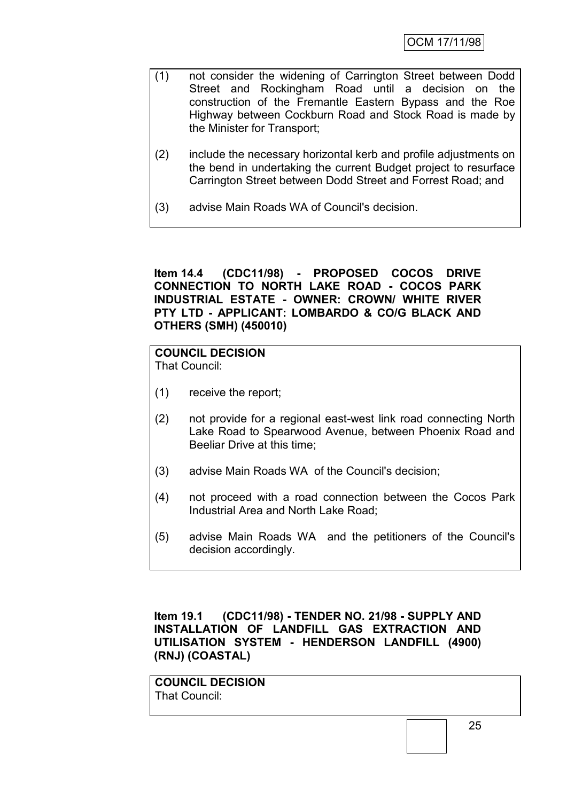- (1) not consider the widening of Carrington Street between Dodd Street and Rockingham Road until a decision on the construction of the Fremantle Eastern Bypass and the Roe Highway between Cockburn Road and Stock Road is made by the Minister for Transport;
- (2) include the necessary horizontal kerb and profile adjustments on the bend in undertaking the current Budget project to resurface Carrington Street between Dodd Street and Forrest Road; and
- (3) advise Main Roads WA of Council's decision.

**Item 14.4 (CDC11/98) - PROPOSED COCOS DRIVE CONNECTION TO NORTH LAKE ROAD - COCOS PARK INDUSTRIAL ESTATE - OWNER: CROWN/ WHITE RIVER PTY LTD - APPLICANT: LOMBARDO & CO/G BLACK AND OTHERS (SMH) (450010)**

# **COUNCIL DECISION**

That Council:

- (1) receive the report;
- (2) not provide for a regional east-west link road connecting North Lake Road to Spearwood Avenue, between Phoenix Road and Beeliar Drive at this time;
- (3) advise Main Roads WA of the Council's decision;
- (4) not proceed with a road connection between the Cocos Park Industrial Area and North Lake Road;
- (5) advise Main Roads WA and the petitioners of the Council's decision accordingly.

**Item 19.1 (CDC11/98) - TENDER NO. 21/98 - SUPPLY AND INSTALLATION OF LANDFILL GAS EXTRACTION AND UTILISATION SYSTEM - HENDERSON LANDFILL (4900) (RNJ) (COASTAL)**

**COUNCIL DECISION** That Council: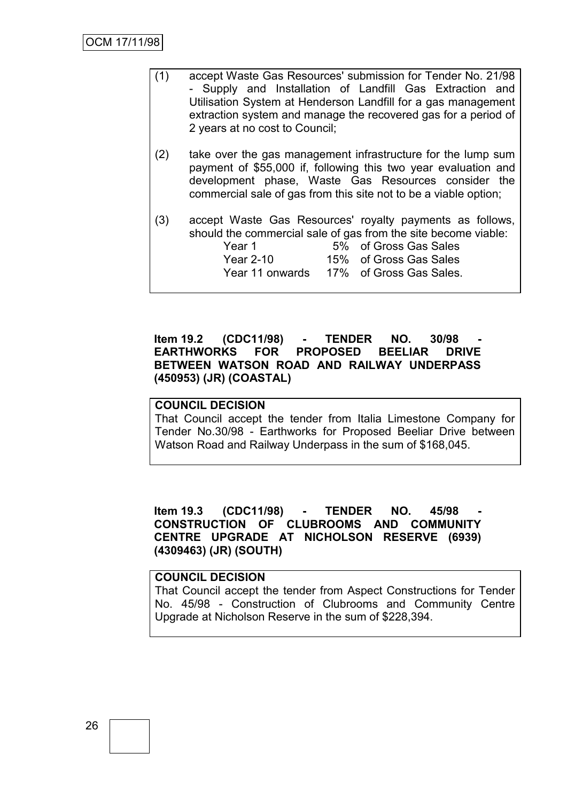- (1) accept Waste Gas Resources' submission for Tender No. 21/98 - Supply and Installation of Landfill Gas Extraction and Utilisation System at Henderson Landfill for a gas management extraction system and manage the recovered gas for a period of 2 years at no cost to Council;
- (2) take over the gas management infrastructure for the lump sum payment of \$55,000 if, following this two year evaluation and development phase, Waste Gas Resources consider the commercial sale of gas from this site not to be a viable option;
- (3) accept Waste Gas Resources' royalty payments as follows, should the commercial sale of gas from the site become viable:<br>Second the state of Creas Cas Sales of Gross Gas Sales

| rear i          | 570 ULUUSS URS SAIES    |
|-----------------|-------------------------|
| Year 2-10       | 15% of Gross Gas Sales  |
| Year 11 onwards | 17% of Gross Gas Sales. |

## **Item 19.2 (CDC11/98) - TENDER NO. 30/98 - EARTHWORKS FOR PROPOSED BEELIAR DRIVE BETWEEN WATSON ROAD AND RAILWAY UNDERPASS (450953) (JR) (COASTAL)**

# **COUNCIL DECISION**

That Council accept the tender from Italia Limestone Company for Tender No.30/98 - Earthworks for Proposed Beeliar Drive between Watson Road and Railway Underpass in the sum of \$168,045.

## **Item 19.3 (CDC11/98) - TENDER NO. 45/98 - CONSTRUCTION OF CLUBROOMS AND COMMUNITY CENTRE UPGRADE AT NICHOLSON RESERVE (6939) (4309463) (JR) (SOUTH)**

### **COUNCIL DECISION**

That Council accept the tender from Aspect Constructions for Tender No. 45/98 - Construction of Clubrooms and Community Centre Upgrade at Nicholson Reserve in the sum of \$228,394.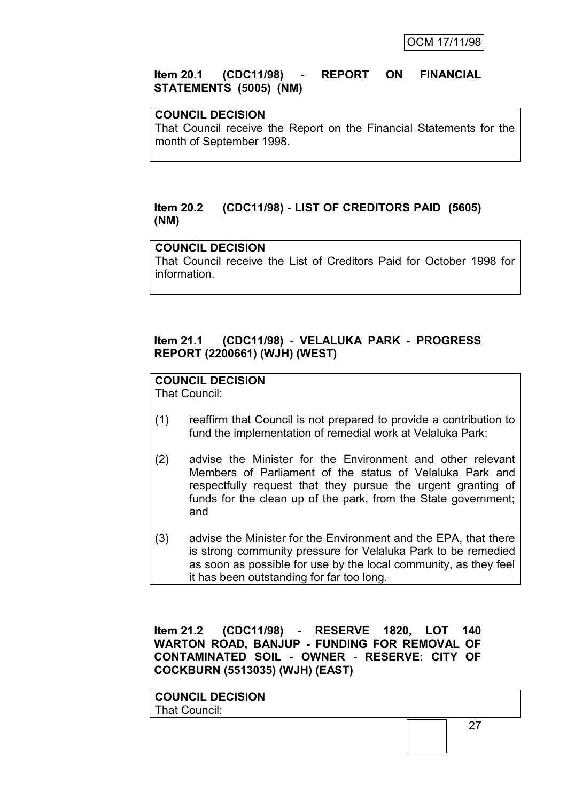### **Item 20.1 (CDC11/98) - REPORT ON FINANCIAL STATEMENTS (5005) (NM)**

### **COUNCIL DECISION**

That Council receive the Report on the Financial Statements for the month of September 1998.

### **Item 20.2 (CDC11/98) - LIST OF CREDITORS PAID (5605) (NM)**

# **COUNCIL DECISION**

That Council receive the List of Creditors Paid for October 1998 for information.

## **Item 21.1 (CDC11/98) - VELALUKA PARK - PROGRESS REPORT (2200661) (WJH) (WEST)**

# **COUNCIL DECISION**

That Council:

- (1) reaffirm that Council is not prepared to provide a contribution to fund the implementation of remedial work at Velaluka Park;
- (2) advise the Minister for the Environment and other relevant Members of Parliament of the status of Velaluka Park and respectfully request that they pursue the urgent granting of funds for the clean up of the park, from the State government; and
- (3) advise the Minister for the Environment and the EPA, that there is strong community pressure for Velaluka Park to be remedied as soon as possible for use by the local community, as they feel it has been outstanding for far too long.

**Item 21.2 (CDC11/98) - RESERVE 1820, LOT 140 WARTON ROAD, BANJUP - FUNDING FOR REMOVAL OF CONTAMINATED SOIL - OWNER - RESERVE: CITY OF COCKBURN (5513035) (WJH) (EAST)**

**COUNCIL DECISION** That Council: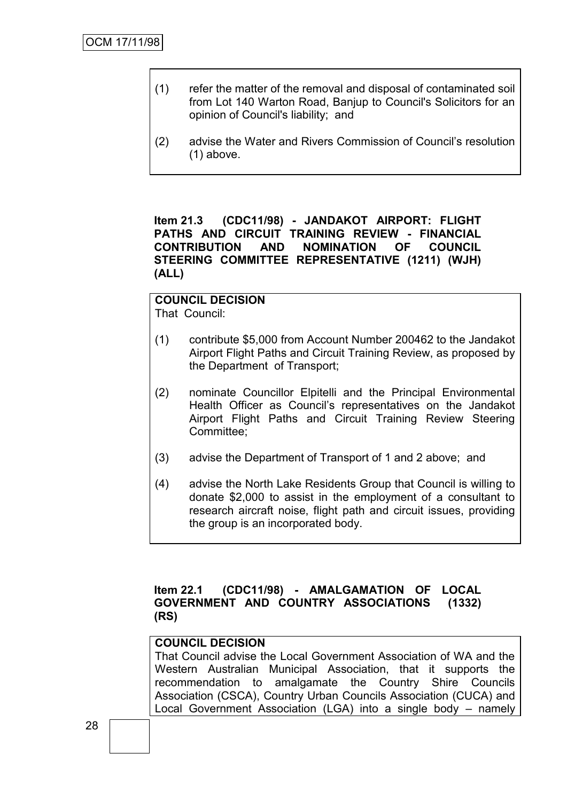- (1) refer the matter of the removal and disposal of contaminated soil from Lot 140 Warton Road, Banjup to Council's Solicitors for an opinion of Council's liability; and
- (2) advise the Water and Rivers Commission of Council"s resolution (1) above.

**Item 21.3 (CDC11/98) - JANDAKOT AIRPORT: FLIGHT PATHS AND CIRCUIT TRAINING REVIEW - FINANCIAL CONTRIBUTION AND NOMINATION OF COUNCIL STEERING COMMITTEE REPRESENTATIVE (1211) (WJH) (ALL)**

#### **COUNCIL DECISION** That Council:

- (1) contribute \$5,000 from Account Number 200462 to the Jandakot Airport Flight Paths and Circuit Training Review, as proposed by the Department of Transport;
- (2) nominate Councillor Elpitelli and the Principal Environmental Health Officer as Council"s representatives on the Jandakot Airport Flight Paths and Circuit Training Review Steering Committee;
- (3) advise the Department of Transport of 1 and 2 above; and
- (4) advise the North Lake Residents Group that Council is willing to donate \$2,000 to assist in the employment of a consultant to research aircraft noise, flight path and circuit issues, providing the group is an incorporated body.

### **Item 22.1 (CDC11/98) - AMALGAMATION OF LOCAL GOVERNMENT AND COUNTRY ASSOCIATIONS (1332) (RS)**

## **COUNCIL DECISION**

That Council advise the Local Government Association of WA and the Western Australian Municipal Association, that it supports the recommendation to amalgamate the Country Shire Councils Association (CSCA), Country Urban Councils Association (CUCA) and Local Government Association (LGA) into a single body – namely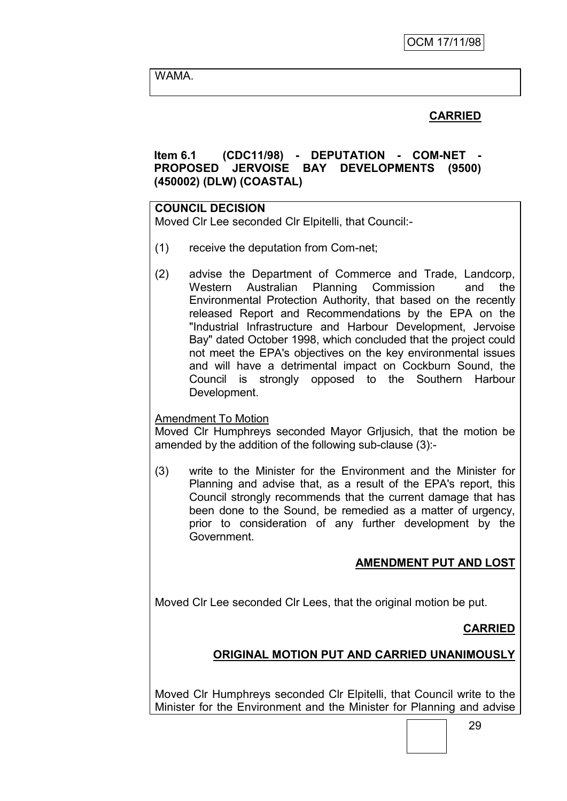WAMA.

# **CARRIED**

# **Item 6.1 (CDC11/98) - DEPUTATION - COM-NET - PROPOSED JERVOISE BAY DEVELOPMENTS (9500) (450002) (DLW) (COASTAL)**

### **COUNCIL DECISION**

Moved Clr Lee seconded Clr Elpitelli, that Council:-

- (1) receive the deputation from Com-net;
- (2) advise the Department of Commerce and Trade, Landcorp, Western Australian Planning Commission and the Environmental Protection Authority, that based on the recently released Report and Recommendations by the EPA on the "Industrial Infrastructure and Harbour Development, Jervoise Bay" dated October 1998, which concluded that the project could not meet the EPA's objectives on the key environmental issues and will have a detrimental impact on Cockburn Sound, the Council is strongly opposed to the Southern Harbour Development.

### Amendment To Motion

Moved Clr Humphreys seconded Mayor Grljusich, that the motion be amended by the addition of the following sub-clause (3):-

(3) write to the Minister for the Environment and the Minister for Planning and advise that, as a result of the EPA's report, this Council strongly recommends that the current damage that has been done to the Sound, be remedied as a matter of urgency, prior to consideration of any further development by the Government.

# **AMENDMENT PUT AND LOST**

Moved Clr Lee seconded Clr Lees, that the original motion be put.

# **CARRIED**

# **ORIGINAL MOTION PUT AND CARRIED UNANIMOUSLY**

Moved Clr Humphreys seconded Clr Elpitelli, that Council write to the Minister for the Environment and the Minister for Planning and advise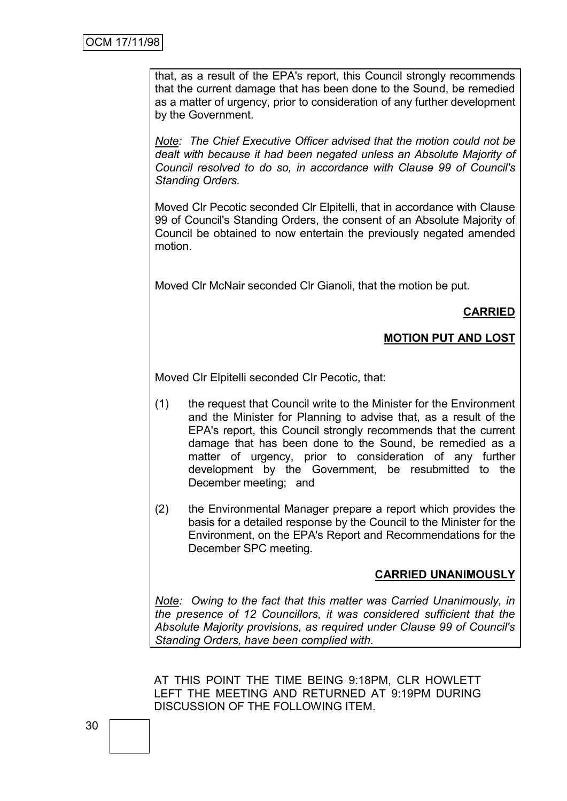that, as a result of the EPA's report, this Council strongly recommends that the current damage that has been done to the Sound, be remedied as a matter of urgency, prior to consideration of any further development by the Government.

*Note: The Chief Executive Officer advised that the motion could not be dealt with because it had been negated unless an Absolute Majority of Council resolved to do so, in accordance with Clause 99 of Council's Standing Orders.*

Moved Clr Pecotic seconded Clr Elpitelli, that in accordance with Clause 99 of Council's Standing Orders, the consent of an Absolute Majority of Council be obtained to now entertain the previously negated amended motion.

Moved Clr McNair seconded Clr Gianoli, that the motion be put.

# **CARRIED**

# **MOTION PUT AND LOST**

Moved Clr Elpitelli seconded Clr Pecotic, that:

- (1) the request that Council write to the Minister for the Environment and the Minister for Planning to advise that, as a result of the EPA's report, this Council strongly recommends that the current damage that has been done to the Sound, be remedied as a matter of urgency, prior to consideration of any further development by the Government, be resubmitted to the December meeting; and
- (2) the Environmental Manager prepare a report which provides the basis for a detailed response by the Council to the Minister for the Environment, on the EPA's Report and Recommendations for the December SPC meeting.

### **CARRIED UNANIMOUSLY**

*Note: Owing to the fact that this matter was Carried Unanimously, in the presence of 12 Councillors, it was considered sufficient that the Absolute Majority provisions, as required under Clause 99 of Council's Standing Orders, have been complied with.*

AT THIS POINT THE TIME BEING 9:18PM, CLR HOWLETT LEFT THE MEETING AND RETURNED AT 9:19PM DURING DISCUSSION OF THE FOLLOWING ITEM.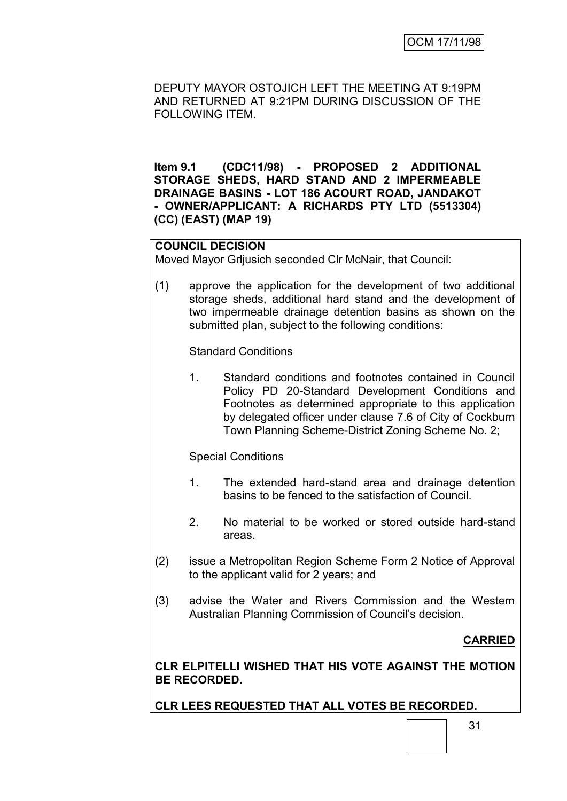DEPUTY MAYOR OSTOJICH LEFT THE MEETING AT 9:19PM AND RETURNED AT 9:21PM DURING DISCUSSION OF THE FOLLOWING ITEM.

**Item 9.1 (CDC11/98) - PROPOSED 2 ADDITIONAL STORAGE SHEDS, HARD STAND AND 2 IMPERMEABLE DRAINAGE BASINS - LOT 186 ACOURT ROAD, JANDAKOT - OWNER/APPLICANT: A RICHARDS PTY LTD (5513304) (CC) (EAST) (MAP 19)**

# **COUNCIL DECISION**

Moved Mayor Grljusich seconded Clr McNair, that Council:

(1) approve the application for the development of two additional storage sheds, additional hard stand and the development of two impermeable drainage detention basins as shown on the submitted plan, subject to the following conditions:

Standard Conditions

1. Standard conditions and footnotes contained in Council Policy PD 20-Standard Development Conditions and Footnotes as determined appropriate to this application by delegated officer under clause 7.6 of City of Cockburn Town Planning Scheme-District Zoning Scheme No. 2;

Special Conditions

- 1. The extended hard-stand area and drainage detention basins to be fenced to the satisfaction of Council.
- 2. No material to be worked or stored outside hard-stand areas.
- (2) issue a Metropolitan Region Scheme Form 2 Notice of Approval to the applicant valid for 2 years; and
- (3) advise the Water and Rivers Commission and the Western Australian Planning Commission of Council"s decision.

**CARRIED**

**CLR ELPITELLI WISHED THAT HIS VOTE AGAINST THE MOTION BE RECORDED.**

**CLR LEES REQUESTED THAT ALL VOTES BE RECORDED.**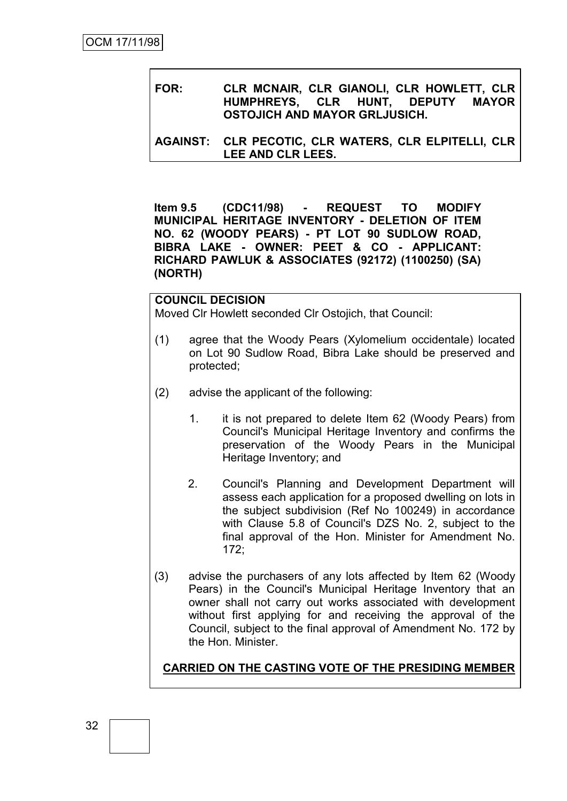**FOR: CLR MCNAIR, CLR GIANOLI, CLR HOWLETT, CLR HUMPHREYS, CLR HUNT, DEPUTY MAYOR OSTOJICH AND MAYOR GRLJUSICH.**

**AGAINST: CLR PECOTIC, CLR WATERS, CLR ELPITELLI, CLR LEE AND CLR LEES.**

**Item 9.5 (CDC11/98) - REQUEST TO MODIFY MUNICIPAL HERITAGE INVENTORY - DELETION OF ITEM NO. 62 (WOODY PEARS) - PT LOT 90 SUDLOW ROAD, BIBRA LAKE - OWNER: PEET & CO - APPLICANT: RICHARD PAWLUK & ASSOCIATES (92172) (1100250) (SA) (NORTH)**

### **COUNCIL DECISION**

Moved Clr Howlett seconded Clr Ostojich, that Council:

- (1) agree that the Woody Pears (Xylomelium occidentale) located on Lot 90 Sudlow Road, Bibra Lake should be preserved and protected;
- (2) advise the applicant of the following:
	- 1. it is not prepared to delete Item 62 (Woody Pears) from Council's Municipal Heritage Inventory and confirms the preservation of the Woody Pears in the Municipal Heritage Inventory; and
	- 2. Council's Planning and Development Department will assess each application for a proposed dwelling on lots in the subject subdivision (Ref No 100249) in accordance with Clause 5.8 of Council's DZS No. 2, subject to the final approval of the Hon. Minister for Amendment No. 172;
- (3) advise the purchasers of any lots affected by Item 62 (Woody Pears) in the Council's Municipal Heritage Inventory that an owner shall not carry out works associated with development without first applying for and receiving the approval of the Council, subject to the final approval of Amendment No. 172 by the Hon. Minister.

**CARRIED ON THE CASTING VOTE OF THE PRESIDING MEMBER**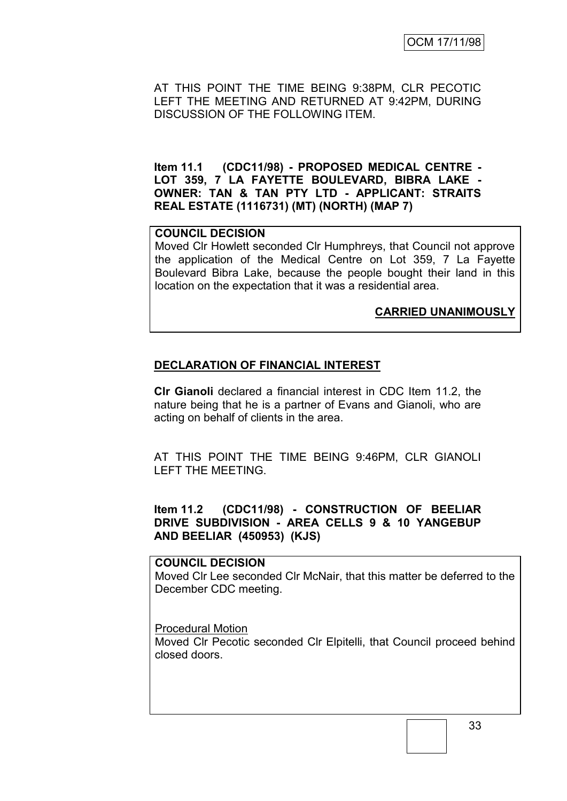AT THIS POINT THE TIME BEING 9:38PM, CLR PECOTIC LEFT THE MEETING AND RETURNED AT 9:42PM, DURING DISCUSSION OF THE FOLLOWING ITEM.

**Item 11.1 (CDC11/98) - PROPOSED MEDICAL CENTRE - LOT 359, 7 LA FAYETTE BOULEVARD, BIBRA LAKE - OWNER: TAN & TAN PTY LTD - APPLICANT: STRAITS REAL ESTATE (1116731) (MT) (NORTH) (MAP 7)**

### **COUNCIL DECISION**

Moved Clr Howlett seconded Clr Humphreys, that Council not approve the application of the Medical Centre on Lot 359, 7 La Fayette Boulevard Bibra Lake, because the people bought their land in this location on the expectation that it was a residential area.

### **CARRIED UNANIMOUSLY**

### **DECLARATION OF FINANCIAL INTEREST**

**Clr Gianoli** declared a financial interest in CDC Item 11.2, the nature being that he is a partner of Evans and Gianoli, who are acting on behalf of clients in the area.

AT THIS POINT THE TIME BEING 9:46PM, CLR GIANOLI LEFT THE MEETING.

### **Item 11.2 (CDC11/98) - CONSTRUCTION OF BEELIAR DRIVE SUBDIVISION - AREA CELLS 9 & 10 YANGEBUP AND BEELIAR (450953) (KJS)**

### **COUNCIL DECISION**

Moved Clr Lee seconded Clr McNair, that this matter be deferred to the December CDC meeting.

### Procedural Motion

Moved Clr Pecotic seconded Clr Elpitelli, that Council proceed behind closed doors.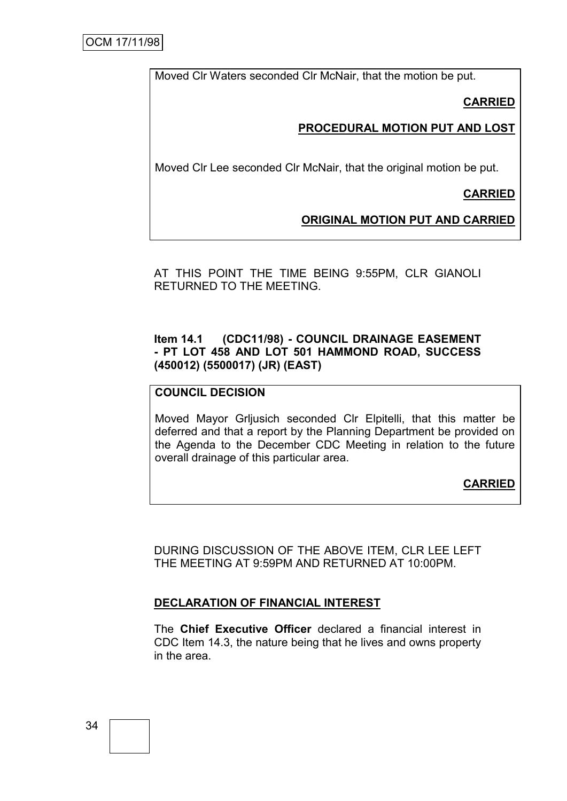Moved Clr Waters seconded Clr McNair, that the motion be put.

**CARRIED**

# **PROCEDURAL MOTION PUT AND LOST**

Moved Clr Lee seconded Clr McNair, that the original motion be put.

**CARRIED**

# **ORIGINAL MOTION PUT AND CARRIED**

AT THIS POINT THE TIME BEING 9:55PM, CLR GIANOLI RETURNED TO THE MEETING.

### **Item 14.1 (CDC11/98) - COUNCIL DRAINAGE EASEMENT - PT LOT 458 AND LOT 501 HAMMOND ROAD, SUCCESS (450012) (5500017) (JR) (EAST)**

### **COUNCIL DECISION**

Moved Mayor Grljusich seconded Clr Elpitelli, that this matter be deferred and that a report by the Planning Department be provided on the Agenda to the December CDC Meeting in relation to the future overall drainage of this particular area.

**CARRIED**

DURING DISCUSSION OF THE ABOVE ITEM, CLR LEE LEFT THE MEETING AT 9:59PM AND RETURNED AT 10:00PM.

# **DECLARATION OF FINANCIAL INTEREST**

The **Chief Executive Officer** declared a financial interest in CDC Item 14.3, the nature being that he lives and owns property in the area.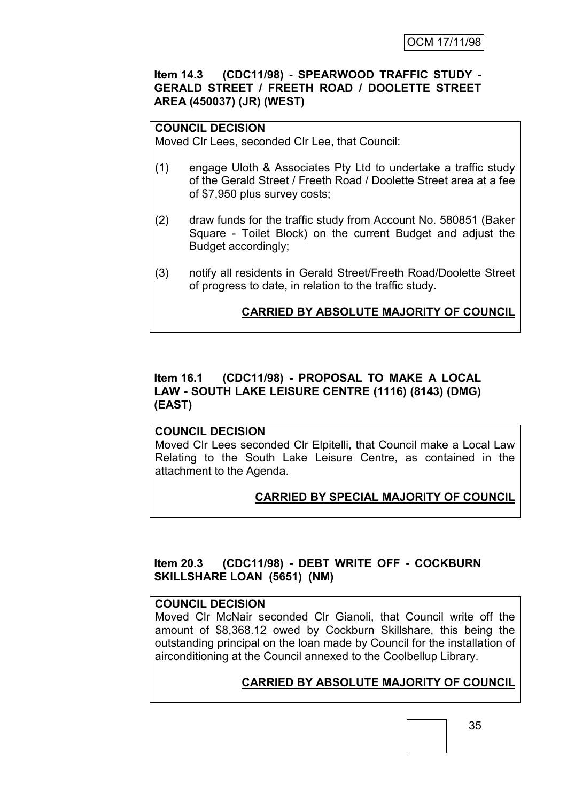### **Item 14.3 (CDC11/98) - SPEARWOOD TRAFFIC STUDY - GERALD STREET / FREETH ROAD / DOOLETTE STREET AREA (450037) (JR) (WEST)**

# **COUNCIL DECISION**

Moved Clr Lees, seconded Clr Lee, that Council:

- (1) engage Uloth & Associates Pty Ltd to undertake a traffic study of the Gerald Street / Freeth Road / Doolette Street area at a fee of \$7,950 plus survey costs;
- (2) draw funds for the traffic study from Account No. 580851 (Baker Square - Toilet Block) on the current Budget and adjust the Budget accordingly;
- (3) notify all residents in Gerald Street/Freeth Road/Doolette Street of progress to date, in relation to the traffic study.

# **CARRIED BY ABSOLUTE MAJORITY OF COUNCIL**

# **Item 16.1 (CDC11/98) - PROPOSAL TO MAKE A LOCAL LAW - SOUTH LAKE LEISURE CENTRE (1116) (8143) (DMG) (EAST)**

### **COUNCIL DECISION**

Moved Clr Lees seconded Clr Elpitelli, that Council make a Local Law Relating to the South Lake Leisure Centre, as contained in the attachment to the Agenda.

# **CARRIED BY SPECIAL MAJORITY OF COUNCIL**

# **Item 20.3 (CDC11/98) - DEBT WRITE OFF - COCKBURN SKILLSHARE LOAN (5651) (NM)**

## **COUNCIL DECISION**

Moved Clr McNair seconded Clr Gianoli, that Council write off the amount of \$8,368.12 owed by Cockburn Skillshare, this being the outstanding principal on the loan made by Council for the installation of airconditioning at the Council annexed to the Coolbellup Library.

# **CARRIED BY ABSOLUTE MAJORITY OF COUNCIL**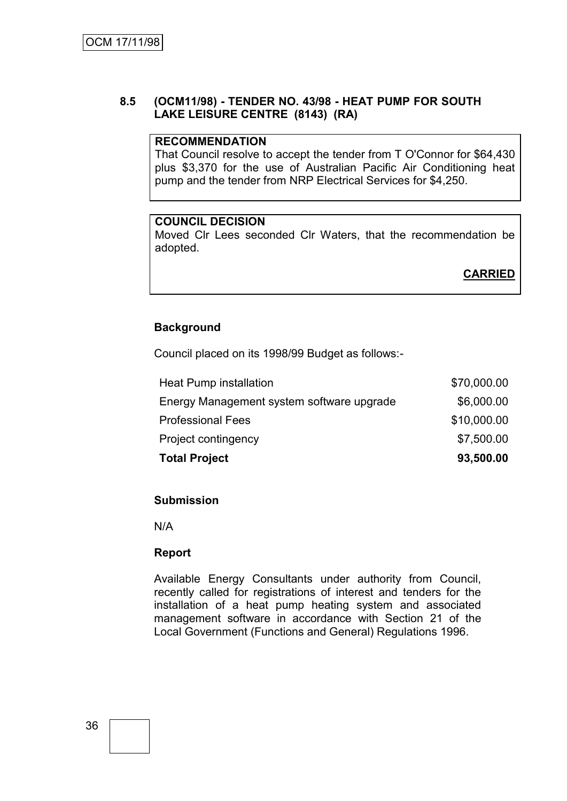### **8.5 (OCM11/98) - TENDER NO. 43/98 - HEAT PUMP FOR SOUTH LAKE LEISURE CENTRE (8143) (RA)**

### **RECOMMENDATION**

That Council resolve to accept the tender from T O'Connor for \$64,430 plus \$3,370 for the use of Australian Pacific Air Conditioning heat pump and the tender from NRP Electrical Services for \$4,250.

### **COUNCIL DECISION**

Moved Clr Lees seconded Clr Waters, that the recommendation be adopted.

# **CARRIED**

# **Background**

Council placed on its 1998/99 Budget as follows:-

| <b>Total Project</b>                      | 93,500.00   |
|-------------------------------------------|-------------|
| Project contingency                       | \$7,500.00  |
| <b>Professional Fees</b>                  | \$10,000.00 |
| Energy Management system software upgrade | \$6,000.00  |
| Heat Pump installation                    | \$70,000.00 |

### **Submission**

N/A

### **Report**

Available Energy Consultants under authority from Council, recently called for registrations of interest and tenders for the installation of a heat pump heating system and associated management software in accordance with Section 21 of the Local Government (Functions and General) Regulations 1996.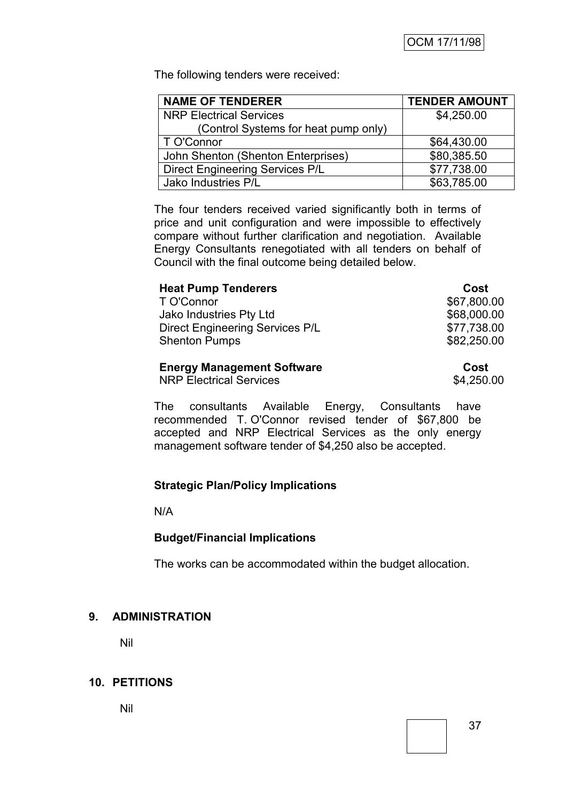The following tenders were received:

| <b>NAME OF TENDERER</b>                | <b>TENDER AMOUNT</b> |
|----------------------------------------|----------------------|
| <b>NRP Electrical Services</b>         | \$4,250.00           |
| (Control Systems for heat pump only)   |                      |
| T O'Connor                             | \$64,430.00          |
| John Shenton (Shenton Enterprises)     | \$80,385.50          |
| <b>Direct Engineering Services P/L</b> | \$77,738.00          |
| Jako Industries P/L                    | \$63,785.00          |

The four tenders received varied significantly both in terms of price and unit configuration and were impossible to effectively compare without further clarification and negotiation. Available Energy Consultants renegotiated with all tenders on behalf of Council with the final outcome being detailed below.

| <b>Heat Pump Tenderers</b>             | Cost        |
|----------------------------------------|-------------|
| T O'Connor                             | \$67,800.00 |
| Jako Industries Pty Ltd                | \$68,000.00 |
| <b>Direct Engineering Services P/L</b> | \$77,738.00 |
| <b>Shenton Pumps</b>                   | \$82,250.00 |
| <b>Engray Management Software</b>      | Cost        |

### **Energy Management Software Cost**

NRP Electrical Services \$4,250.00

The consultants Available Energy, Consultants have recommended T. O'Connor revised tender of \$67,800 be accepted and NRP Electrical Services as the only energy management software tender of \$4,250 also be accepted.

# **Strategic Plan/Policy Implications**

N/A

# **Budget/Financial Implications**

The works can be accommodated within the budget allocation.

# **9. ADMINISTRATION**

Nil

# **10. PETITIONS**

Nil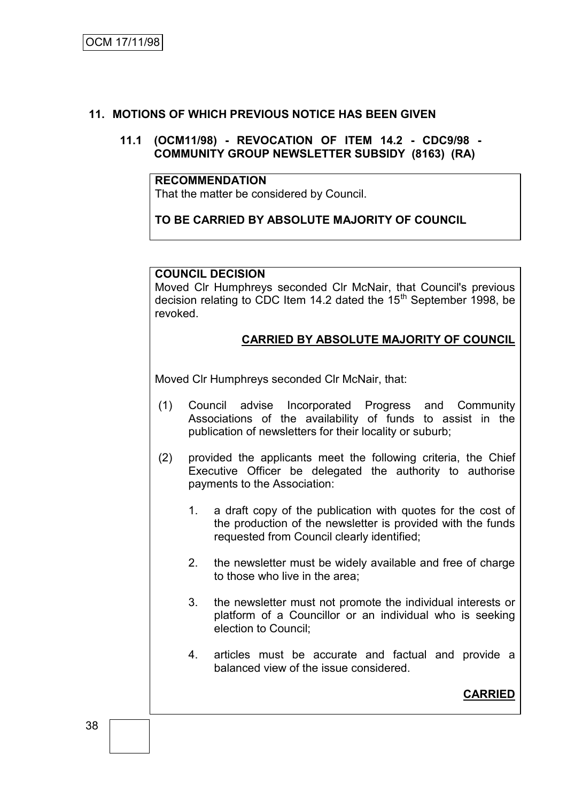# **11. MOTIONS OF WHICH PREVIOUS NOTICE HAS BEEN GIVEN**

### **11.1 (OCM11/98) - REVOCATION OF ITEM 14.2 - CDC9/98 - COMMUNITY GROUP NEWSLETTER SUBSIDY (8163) (RA)**

### **RECOMMENDATION**

That the matter be considered by Council.

# **TO BE CARRIED BY ABSOLUTE MAJORITY OF COUNCIL**

### **COUNCIL DECISION**

Moved Clr Humphreys seconded Clr McNair, that Council's previous decision relating to CDC Item 14.2 dated the  $15<sup>th</sup>$  September 1998, be revoked.

# **CARRIED BY ABSOLUTE MAJORITY OF COUNCIL**

Moved Clr Humphreys seconded Clr McNair, that:

- (1) Council advise Incorporated Progress and Community Associations of the availability of funds to assist in the publication of newsletters for their locality or suburb;
- (2) provided the applicants meet the following criteria, the Chief Executive Officer be delegated the authority to authorise payments to the Association:
	- 1. a draft copy of the publication with quotes for the cost of the production of the newsletter is provided with the funds requested from Council clearly identified;
	- 2. the newsletter must be widely available and free of charge to those who live in the area;
	- 3. the newsletter must not promote the individual interests or platform of a Councillor or an individual who is seeking election to Council;
	- 4. articles must be accurate and factual and provide a balanced view of the issue considered.

# **CARRIED**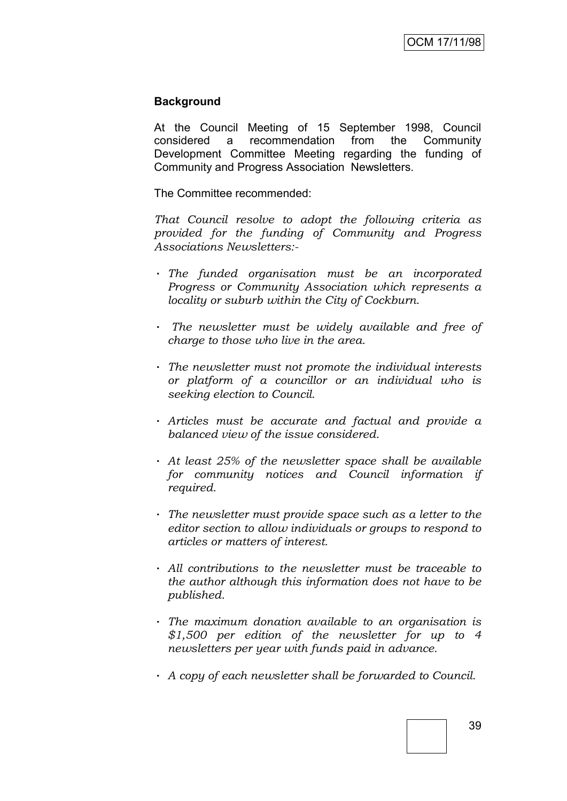### **Background**

At the Council Meeting of 15 September 1998, Council considered a recommendation from the Community Development Committee Meeting regarding the funding of Community and Progress Association Newsletters.

The Committee recommended:

*That Council resolve to adopt the following criteria as provided for the funding of Community and Progress Associations Newsletters:-*

- · *The funded organisation must be an incorporated Progress or Community Association which represents a locality or suburb within the City of Cockburn.*
- · *The newsletter must be widely available and free of charge to those who live in the area.*
- · *The newsletter must not promote the individual interests or platform of a councillor or an individual who is seeking election to Council.*
- · *Articles must be accurate and factual and provide a balanced view of the issue considered.*
- · *At least 25% of the newsletter space shall be available for community notices and Council information if required.*
- · *The newsletter must provide space such as a letter to the editor section to allow individuals or groups to respond to articles or matters of interest.*
- · *All contributions to the newsletter must be traceable to the author although this information does not have to be published.*
- · *The maximum donation available to an organisation is \$1,500 per edition of the newsletter for up to 4 newsletters per year with funds paid in advance.*
- · *A copy of each newsletter shall be forwarded to Council.*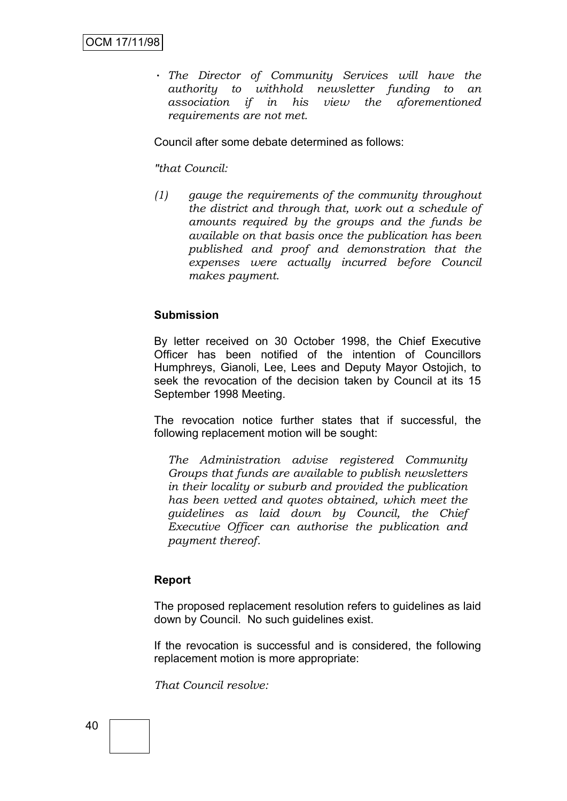· *The Director of Community Services will have the authority to withhold newsletter funding to an association if in his view the aforementioned requirements are not met.*

Council after some debate determined as follows:

### *"that Council:*

*(1) gauge the requirements of the community throughout the district and through that, work out a schedule of amounts required by the groups and the funds be available on that basis once the publication has been published and proof and demonstration that the expenses were actually incurred before Council makes payment.*

### **Submission**

By letter received on 30 October 1998, the Chief Executive Officer has been notified of the intention of Councillors Humphreys, Gianoli, Lee, Lees and Deputy Mayor Ostojich, to seek the revocation of the decision taken by Council at its 15 September 1998 Meeting.

The revocation notice further states that if successful, the following replacement motion will be sought:

*The Administration advise registered Community Groups that funds are available to publish newsletters in their locality or suburb and provided the publication has been vetted and quotes obtained, which meet the guidelines as laid down by Council, the Chief Executive Officer can authorise the publication and payment thereof.*

### **Report**

The proposed replacement resolution refers to guidelines as laid down by Council. No such guidelines exist.

If the revocation is successful and is considered, the following replacement motion is more appropriate:

*That Council resolve:*

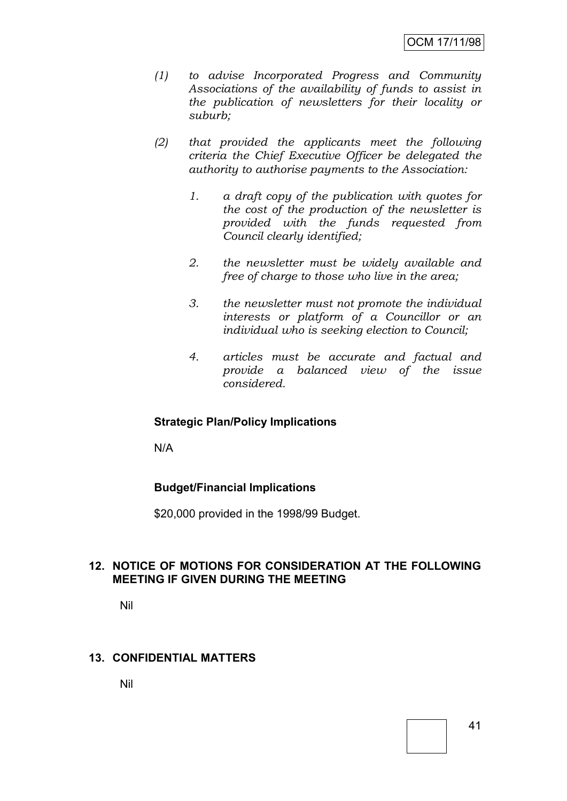- *(1) to advise Incorporated Progress and Community Associations of the availability of funds to assist in the publication of newsletters for their locality or suburb;*
- *(2) that provided the applicants meet the following criteria the Chief Executive Officer be delegated the authority to authorise payments to the Association:*
	- *1. a draft copy of the publication with quotes for the cost of the production of the newsletter is provided with the funds requested from Council clearly identified;*
	- *2. the newsletter must be widely available and free of charge to those who live in the area;*
	- *3. the newsletter must not promote the individual interests or platform of a Councillor or an individual who is seeking election to Council;*
	- *4. articles must be accurate and factual and provide a balanced view of the issue considered.*

# **Strategic Plan/Policy Implications**

N/A

# **Budget/Financial Implications**

\$20,000 provided in the 1998/99 Budget.

# **12. NOTICE OF MOTIONS FOR CONSIDERATION AT THE FOLLOWING MEETING IF GIVEN DURING THE MEETING**

Nil

# **13. CONFIDENTIAL MATTERS**

Nil